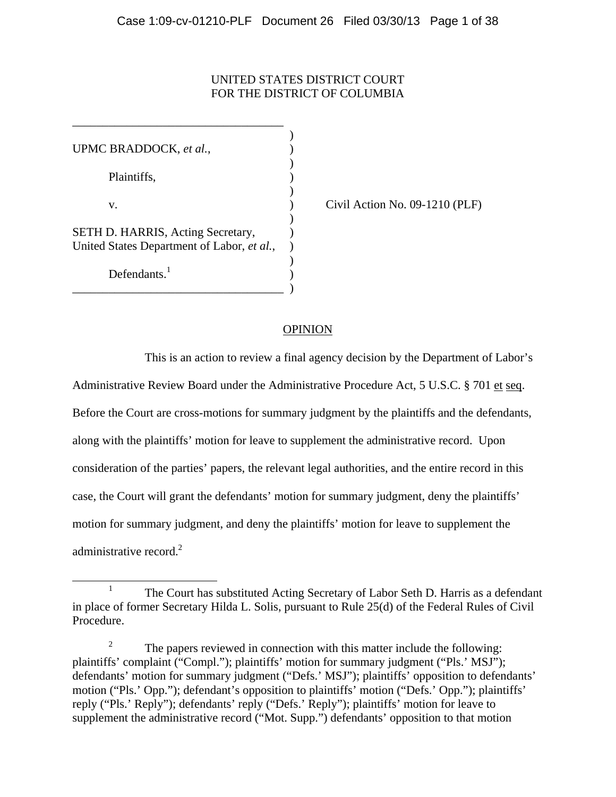# UNITED STATES DISTRICT COURT FOR THE DISTRICT OF COLUMBIA

 $\mathcal{L}$ UPMC BRADDOCK, *et al.*,)  $)$  Plaintiffs, )  $)$  v. ) Civil Action No. 09-1210 (PLF)  $)$ SETH D. HARRIS, Acting Secretary, United States Department of Labor, *et al.*, )  $)$ Defendants $<sup>1</sup>$ </sup>  $\overline{\phantom{a}}$ 

\_\_\_\_\_\_\_\_\_\_\_\_\_\_\_\_\_\_\_\_\_\_\_\_\_\_\_\_\_\_\_\_\_\_\_ )

\_\_\_\_\_\_\_\_\_\_\_\_\_\_\_\_\_\_\_\_\_\_\_\_\_\_\_\_\_\_\_\_\_\_\_

# **OPINION**

 This is an action to review a final agency decision by the Department of Labor's Administrative Review Board under the Administrative Procedure Act, 5 U.S.C. § 701 et seq. Before the Court are cross-motions for summary judgment by the plaintiffs and the defendants, along with the plaintiffs' motion for leave to supplement the administrative record. Upon consideration of the parties' papers, the relevant legal authorities, and the entire record in this case, the Court will grant the defendants' motion for summary judgment, deny the plaintiffs' motion for summary judgment, and deny the plaintiffs' motion for leave to supplement the administrative record.<sup>2</sup>

<sup>&</sup>lt;u>1</u> <sup>1</sup> The Court has substituted Acting Secretary of Labor Seth D. Harris as a defendant in place of former Secretary Hilda L. Solis, pursuant to Rule 25(d) of the Federal Rules of Civil Procedure.

<sup>2</sup> The papers reviewed in connection with this matter include the following: plaintiffs' complaint ("Compl."); plaintiffs' motion for summary judgment ("Pls.' MSJ"); defendants' motion for summary judgment ("Defs.' MSJ"); plaintiffs' opposition to defendants' motion ("Pls.' Opp."); defendant's opposition to plaintiffs' motion ("Defs.' Opp."); plaintiffs' reply ("Pls.' Reply"); defendants' reply ("Defs.' Reply"); plaintiffs' motion for leave to supplement the administrative record ("Mot. Supp.") defendants' opposition to that motion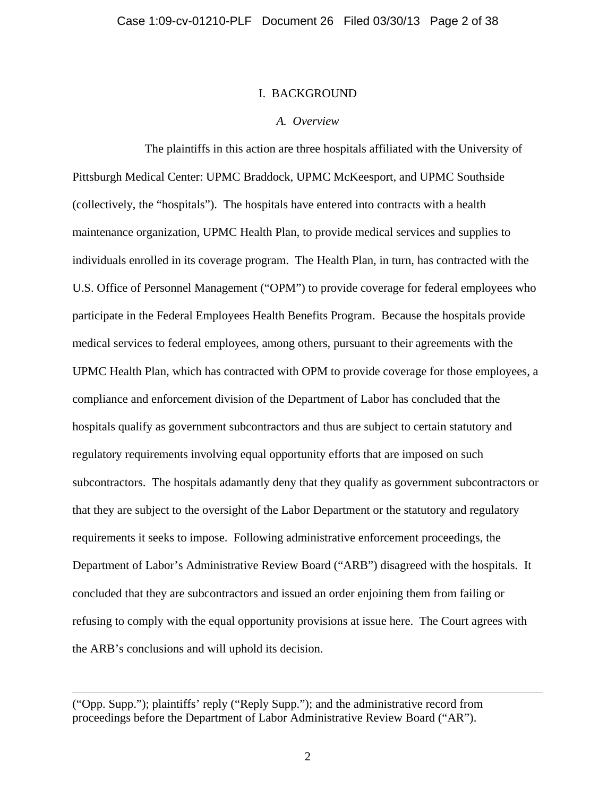## I. BACKGROUND

## *A. Overview*

 The plaintiffs in this action are three hospitals affiliated with the University of Pittsburgh Medical Center: UPMC Braddock, UPMC McKeesport, and UPMC Southside (collectively, the "hospitals"). The hospitals have entered into contracts with a health maintenance organization, UPMC Health Plan, to provide medical services and supplies to individuals enrolled in its coverage program. The Health Plan, in turn, has contracted with the U.S. Office of Personnel Management ("OPM") to provide coverage for federal employees who participate in the Federal Employees Health Benefits Program. Because the hospitals provide medical services to federal employees, among others, pursuant to their agreements with the UPMC Health Plan, which has contracted with OPM to provide coverage for those employees, a compliance and enforcement division of the Department of Labor has concluded that the hospitals qualify as government subcontractors and thus are subject to certain statutory and regulatory requirements involving equal opportunity efforts that are imposed on such subcontractors. The hospitals adamantly deny that they qualify as government subcontractors or that they are subject to the oversight of the Labor Department or the statutory and regulatory requirements it seeks to impose. Following administrative enforcement proceedings, the Department of Labor's Administrative Review Board ("ARB") disagreed with the hospitals. It concluded that they are subcontractors and issued an order enjoining them from failing or refusing to comply with the equal opportunity provisions at issue here. The Court agrees with the ARB's conclusions and will uphold its decision.

 $\overline{a}$ 

<sup>(&</sup>quot;Opp. Supp."); plaintiffs' reply ("Reply Supp."); and the administrative record from proceedings before the Department of Labor Administrative Review Board ("AR").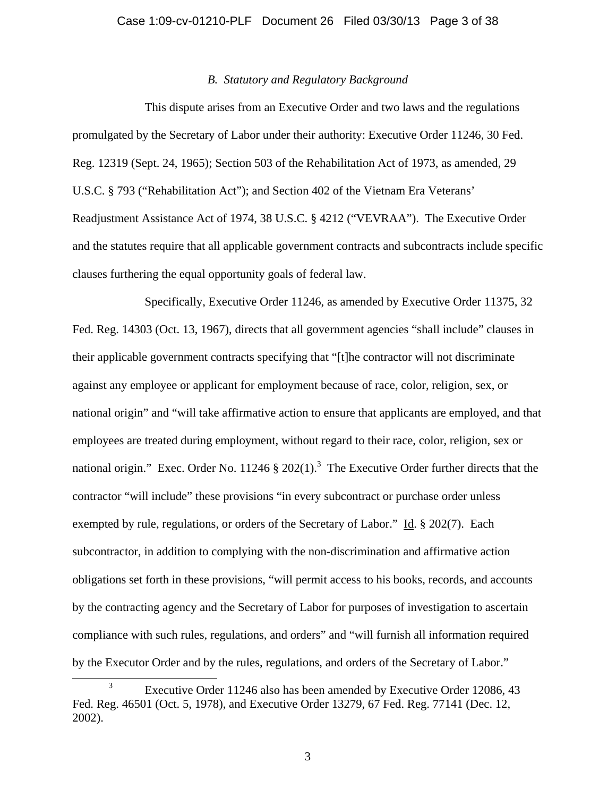# *B. Statutory and Regulatory Background*

 This dispute arises from an Executive Order and two laws and the regulations promulgated by the Secretary of Labor under their authority: Executive Order 11246, 30 Fed. Reg. 12319 (Sept. 24, 1965); Section 503 of the Rehabilitation Act of 1973, as amended, 29 U.S.C. § 793 ("Rehabilitation Act"); and Section 402 of the Vietnam Era Veterans' Readjustment Assistance Act of 1974, 38 U.S.C. § 4212 ("VEVRAA"). The Executive Order and the statutes require that all applicable government contracts and subcontracts include specific clauses furthering the equal opportunity goals of federal law.

 Specifically, Executive Order 11246, as amended by Executive Order 11375, 32 Fed. Reg. 14303 (Oct. 13, 1967), directs that all government agencies "shall include" clauses in their applicable government contracts specifying that "[t]he contractor will not discriminate against any employee or applicant for employment because of race, color, religion, sex, or national origin" and "will take affirmative action to ensure that applicants are employed, and that employees are treated during employment, without regard to their race, color, religion, sex or national origin." Exec. Order No. 11246  $\S 202(1)$ .<sup>3</sup> The Executive Order further directs that the contractor "will include" these provisions "in every subcontract or purchase order unless exempted by rule, regulations, or orders of the Secretary of Labor." Id. § 202(7). Each subcontractor, in addition to complying with the non-discrimination and affirmative action obligations set forth in these provisions, "will permit access to his books, records, and accounts by the contracting agency and the Secretary of Labor for purposes of investigation to ascertain compliance with such rules, regulations, and orders" and "will furnish all information required by the Executor Order and by the rules, regulations, and orders of the Secretary of Labor."

 $\frac{1}{3}$ <sup>3</sup> Executive Order 11246 also has been amended by Executive Order 12086, 43 Fed. Reg. 46501 (Oct. 5, 1978), and Executive Order 13279, 67 Fed. Reg. 77141 (Dec. 12, 2002).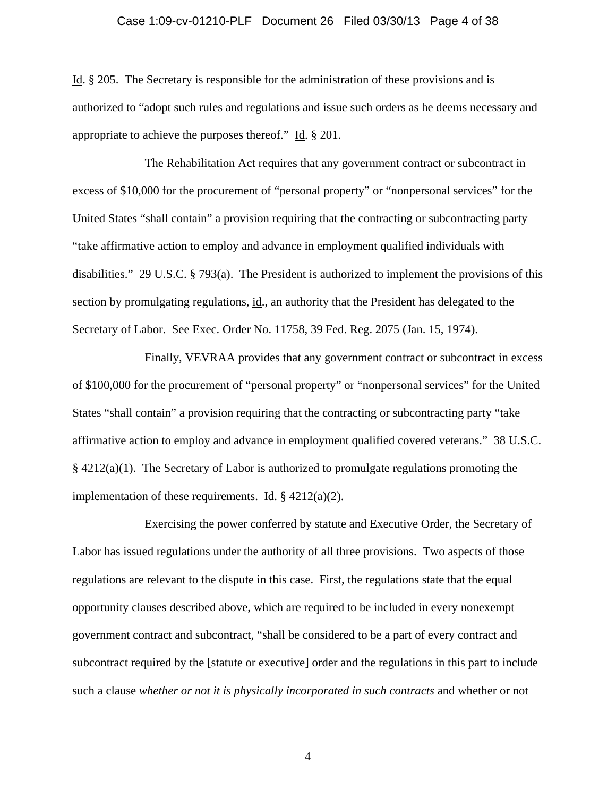# Case 1:09-cv-01210-PLF Document 26 Filed 03/30/13 Page 4 of 38

Id. § 205. The Secretary is responsible for the administration of these provisions and is authorized to "adopt such rules and regulations and issue such orders as he deems necessary and appropriate to achieve the purposes thereof." Id. § 201.

 The Rehabilitation Act requires that any government contract or subcontract in excess of \$10,000 for the procurement of "personal property" or "nonpersonal services" for the United States "shall contain" a provision requiring that the contracting or subcontracting party "take affirmative action to employ and advance in employment qualified individuals with disabilities." 29 U.S.C. § 793(a). The President is authorized to implement the provisions of this section by promulgating regulations, id., an authority that the President has delegated to the Secretary of Labor. See Exec. Order No. 11758, 39 Fed. Reg. 2075 (Jan. 15, 1974).

 Finally, VEVRAA provides that any government contract or subcontract in excess of \$100,000 for the procurement of "personal property" or "nonpersonal services" for the United States "shall contain" a provision requiring that the contracting or subcontracting party "take affirmative action to employ and advance in employment qualified covered veterans." 38 U.S.C. § 4212(a)(1). The Secretary of Labor is authorized to promulgate regulations promoting the implementation of these requirements. Id.  $\S 4212(a)(2)$ .

 Exercising the power conferred by statute and Executive Order, the Secretary of Labor has issued regulations under the authority of all three provisions. Two aspects of those regulations are relevant to the dispute in this case. First, the regulations state that the equal opportunity clauses described above, which are required to be included in every nonexempt government contract and subcontract, "shall be considered to be a part of every contract and subcontract required by the [statute or executive] order and the regulations in this part to include such a clause *whether or not it is physically incorporated in such contracts* and whether or not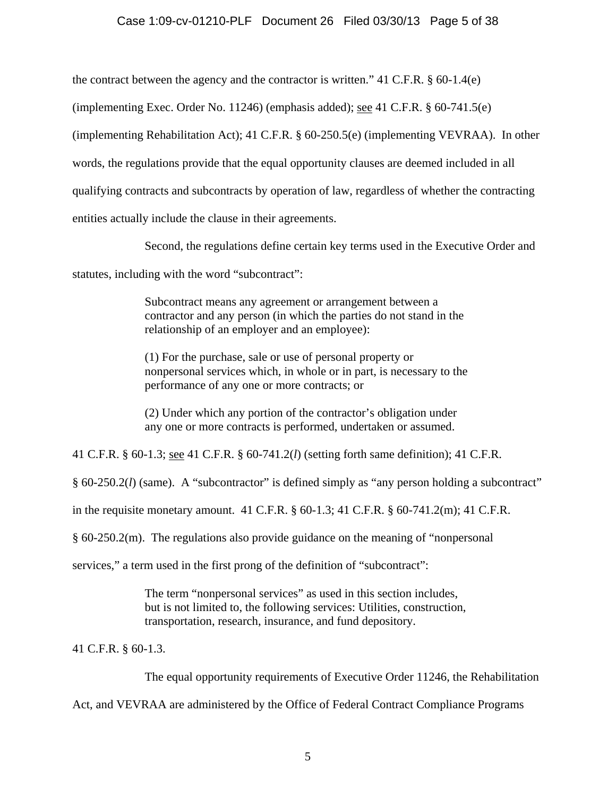# Case 1:09-cv-01210-PLF Document 26 Filed 03/30/13 Page 5 of 38

the contract between the agency and the contractor is written." 41 C.F.R. § 60-1.4(e)

(implementing Exec. Order No. 11246) (emphasis added); see 41 C.F.R. § 60-741.5(e)

(implementing Rehabilitation Act); 41 C.F.R. § 60-250.5(e) (implementing VEVRAA). In other

words, the regulations provide that the equal opportunity clauses are deemed included in all

qualifying contracts and subcontracts by operation of law, regardless of whether the contracting

entities actually include the clause in their agreements.

Second, the regulations define certain key terms used in the Executive Order and

statutes, including with the word "subcontract":

Subcontract means any agreement or arrangement between a contractor and any person (in which the parties do not stand in the relationship of an employer and an employee):

(1) For the purchase, sale or use of personal property or nonpersonal services which, in whole or in part, is necessary to the performance of any one or more contracts; or

(2) Under which any portion of the contractor's obligation under any one or more contracts is performed, undertaken or assumed.

41 C.F.R. § 60-1.3; see 41 C.F.R. § 60-741.2(*l*) (setting forth same definition); 41 C.F.R.

§ 60-250.2(*l*) (same). A "subcontractor" is defined simply as "any person holding a subcontract"

in the requisite monetary amount.  $41 \text{ C.F.R.}$  §  $60-1.3$ ;  $41 \text{ C.F.R.}$  §  $60-741.2 \text{(m)}$ ;  $41 \text{ C.F.R.}$ 

§ 60-250.2(m). The regulations also provide guidance on the meaning of "nonpersonal

services," a term used in the first prong of the definition of "subcontract":

The term "nonpersonal services" as used in this section includes, but is not limited to, the following services: Utilities, construction, transportation, research, insurance, and fund depository.

41 C.F.R. § 60-1.3.

 The equal opportunity requirements of Executive Order 11246, the Rehabilitation Act, and VEVRAA are administered by the Office of Federal Contract Compliance Programs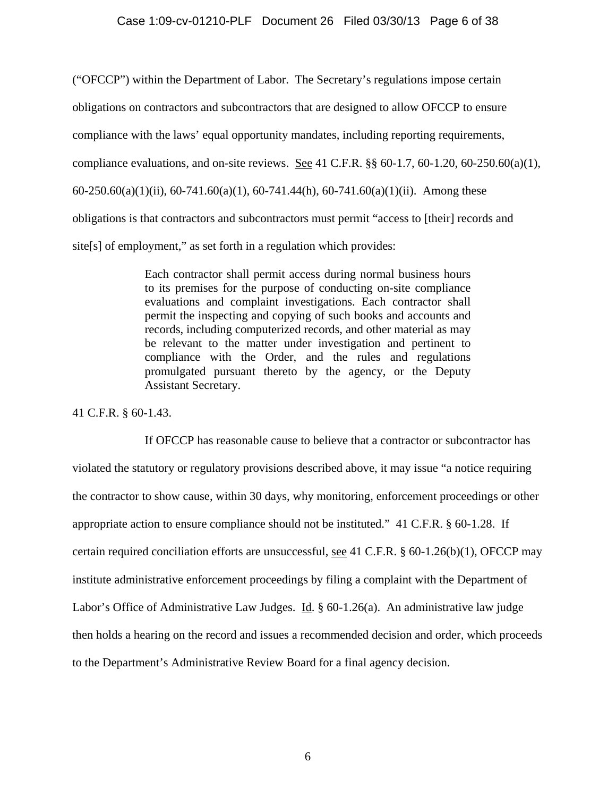### Case 1:09-cv-01210-PLF Document 26 Filed 03/30/13 Page 6 of 38

("OFCCP") within the Department of Labor. The Secretary's regulations impose certain obligations on contractors and subcontractors that are designed to allow OFCCP to ensure compliance with the laws' equal opportunity mandates, including reporting requirements, compliance evaluations, and on-site reviews. See 41 C.F.R. §§ 60-1.7, 60-1.20, 60-250.60(a)(1), 60-250.60(a)(1)(ii), 60-741.60(a)(1), 60-741.44(h), 60-741.60(a)(1)(ii). Among these obligations is that contractors and subcontractors must permit "access to [their] records and site[s] of employment," as set forth in a regulation which provides:

> Each contractor shall permit access during normal business hours to its premises for the purpose of conducting on-site compliance evaluations and complaint investigations. Each contractor shall permit the inspecting and copying of such books and accounts and records, including computerized records, and other material as may be relevant to the matter under investigation and pertinent to compliance with the Order, and the rules and regulations promulgated pursuant thereto by the agency, or the Deputy Assistant Secretary.

41 C.F.R. § 60-1.43.

 If OFCCP has reasonable cause to believe that a contractor or subcontractor has violated the statutory or regulatory provisions described above, it may issue "a notice requiring the contractor to show cause, within 30 days, why monitoring, enforcement proceedings or other appropriate action to ensure compliance should not be instituted." 41 C.F.R. § 60-1.28. If certain required conciliation efforts are unsuccessful, see 41 C.F.R. § 60-1.26(b)(1), OFCCP may institute administrative enforcement proceedings by filing a complaint with the Department of Labor's Office of Administrative Law Judges. Id. § 60-1.26(a). An administrative law judge then holds a hearing on the record and issues a recommended decision and order, which proceeds to the Department's Administrative Review Board for a final agency decision.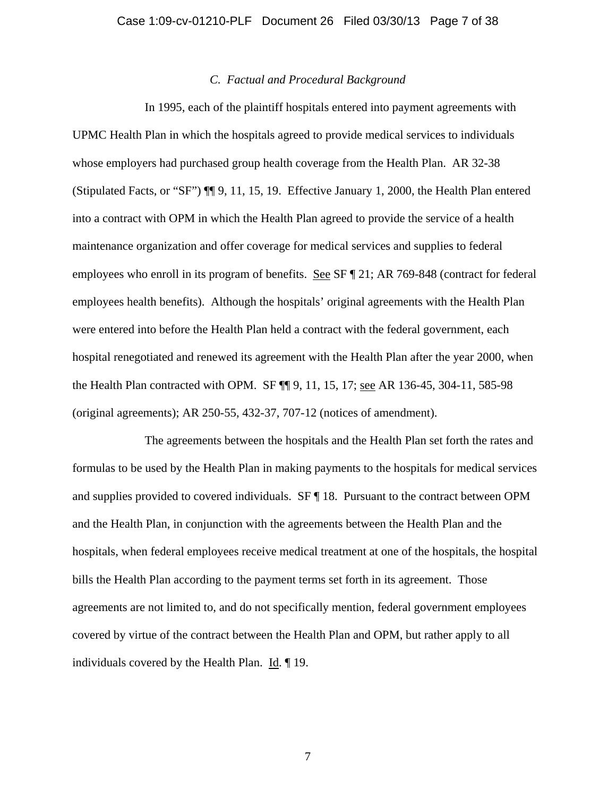## *C. Factual and Procedural Background*

 In 1995, each of the plaintiff hospitals entered into payment agreements with UPMC Health Plan in which the hospitals agreed to provide medical services to individuals whose employers had purchased group health coverage from the Health Plan. AR 32-38 (Stipulated Facts, or "SF") ¶¶ 9, 11, 15, 19. Effective January 1, 2000, the Health Plan entered into a contract with OPM in which the Health Plan agreed to provide the service of a health maintenance organization and offer coverage for medical services and supplies to federal employees who enroll in its program of benefits. See SF ¶ 21; AR 769-848 (contract for federal employees health benefits). Although the hospitals' original agreements with the Health Plan were entered into before the Health Plan held a contract with the federal government, each hospital renegotiated and renewed its agreement with the Health Plan after the year 2000, when the Health Plan contracted with OPM. SF ¶¶ 9, 11, 15, 17; see AR 136-45, 304-11, 585-98 (original agreements); AR 250-55, 432-37, 707-12 (notices of amendment).

 The agreements between the hospitals and the Health Plan set forth the rates and formulas to be used by the Health Plan in making payments to the hospitals for medical services and supplies provided to covered individuals. SF ¶ 18. Pursuant to the contract between OPM and the Health Plan, in conjunction with the agreements between the Health Plan and the hospitals, when federal employees receive medical treatment at one of the hospitals, the hospital bills the Health Plan according to the payment terms set forth in its agreement. Those agreements are not limited to, and do not specifically mention, federal government employees covered by virtue of the contract between the Health Plan and OPM, but rather apply to all individuals covered by the Health Plan. Id. ¶ 19.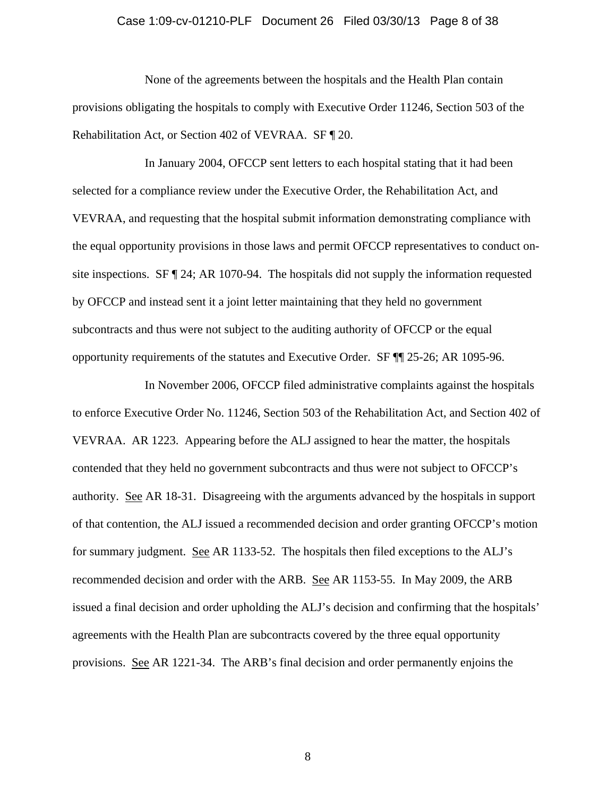#### Case 1:09-cv-01210-PLF Document 26 Filed 03/30/13 Page 8 of 38

 None of the agreements between the hospitals and the Health Plan contain provisions obligating the hospitals to comply with Executive Order 11246, Section 503 of the Rehabilitation Act, or Section 402 of VEVRAA. SF ¶ 20.

 In January 2004, OFCCP sent letters to each hospital stating that it had been selected for a compliance review under the Executive Order, the Rehabilitation Act, and VEVRAA, and requesting that the hospital submit information demonstrating compliance with the equal opportunity provisions in those laws and permit OFCCP representatives to conduct onsite inspections.  $SF \nvert 24$ ; AR 1070-94. The hospitals did not supply the information requested by OFCCP and instead sent it a joint letter maintaining that they held no government subcontracts and thus were not subject to the auditing authority of OFCCP or the equal opportunity requirements of the statutes and Executive Order. SF ¶¶ 25-26; AR 1095-96.

 In November 2006, OFCCP filed administrative complaints against the hospitals to enforce Executive Order No. 11246, Section 503 of the Rehabilitation Act, and Section 402 of VEVRAA. AR 1223. Appearing before the ALJ assigned to hear the matter, the hospitals contended that they held no government subcontracts and thus were not subject to OFCCP's authority. See AR 18-31. Disagreeing with the arguments advanced by the hospitals in support of that contention, the ALJ issued a recommended decision and order granting OFCCP's motion for summary judgment. See AR 1133-52. The hospitals then filed exceptions to the ALJ's recommended decision and order with the ARB. See AR 1153-55. In May 2009, the ARB issued a final decision and order upholding the ALJ's decision and confirming that the hospitals' agreements with the Health Plan are subcontracts covered by the three equal opportunity provisions. See AR 1221-34. The ARB's final decision and order permanently enjoins the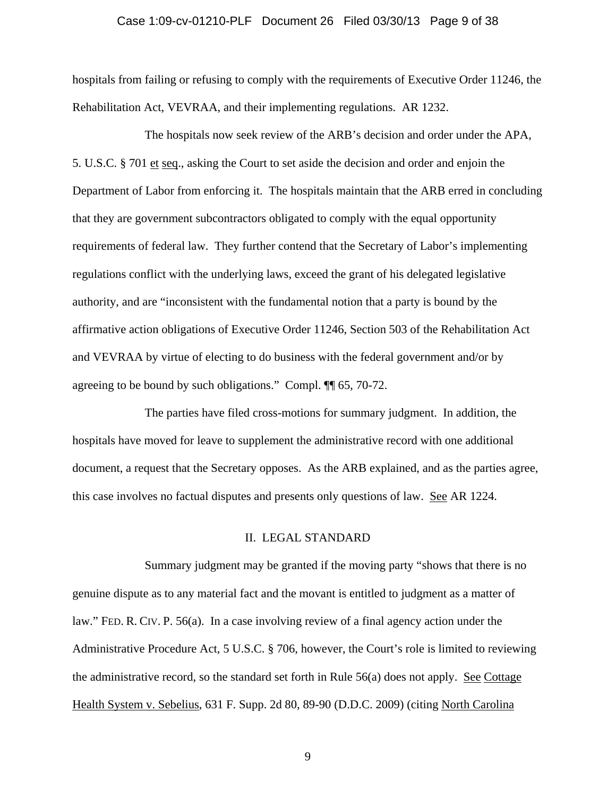# Case 1:09-cv-01210-PLF Document 26 Filed 03/30/13 Page 9 of 38

hospitals from failing or refusing to comply with the requirements of Executive Order 11246, the Rehabilitation Act, VEVRAA, and their implementing regulations. AR 1232.

 The hospitals now seek review of the ARB's decision and order under the APA, 5. U.S.C. § 701 et seq., asking the Court to set aside the decision and order and enjoin the Department of Labor from enforcing it. The hospitals maintain that the ARB erred in concluding that they are government subcontractors obligated to comply with the equal opportunity requirements of federal law. They further contend that the Secretary of Labor's implementing regulations conflict with the underlying laws, exceed the grant of his delegated legislative authority, and are "inconsistent with the fundamental notion that a party is bound by the affirmative action obligations of Executive Order 11246, Section 503 of the Rehabilitation Act and VEVRAA by virtue of electing to do business with the federal government and/or by agreeing to be bound by such obligations." Compl. ¶¶ 65, 70-72.

 The parties have filed cross-motions for summary judgment. In addition, the hospitals have moved for leave to supplement the administrative record with one additional document, a request that the Secretary opposes. As the ARB explained, and as the parties agree, this case involves no factual disputes and presents only questions of law. See AR 1224.

# II. LEGAL STANDARD

 Summary judgment may be granted if the moving party "shows that there is no genuine dispute as to any material fact and the movant is entitled to judgment as a matter of law." FED. R. CIV. P. 56(a). In a case involving review of a final agency action under the Administrative Procedure Act, 5 U.S.C. § 706, however, the Court's role is limited to reviewing the administrative record, so the standard set forth in Rule 56(a) does not apply. See Cottage Health System v. Sebelius, 631 F. Supp. 2d 80, 89-90 (D.D.C. 2009) (citing North Carolina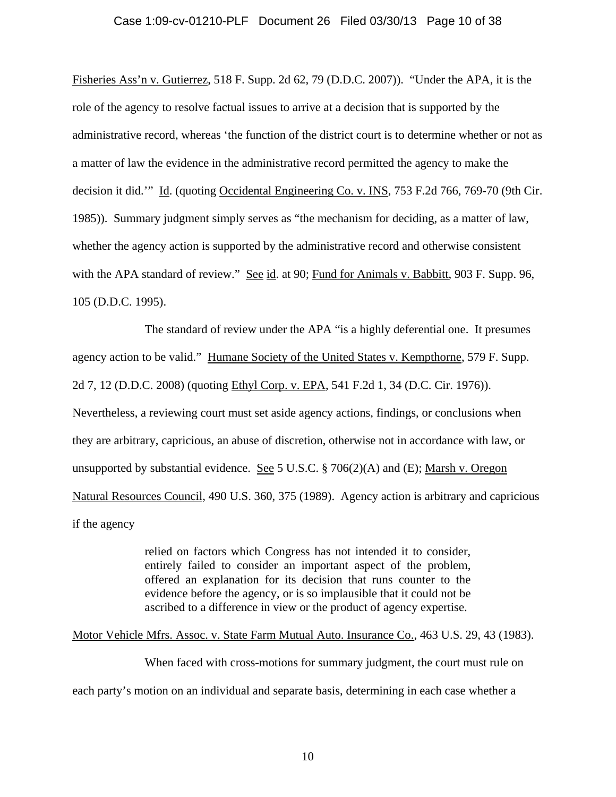## Case 1:09-cv-01210-PLF Document 26 Filed 03/30/13 Page 10 of 38

Fisheries Ass'n v. Gutierrez, 518 F. Supp. 2d 62, 79 (D.D.C. 2007)). "Under the APA, it is the role of the agency to resolve factual issues to arrive at a decision that is supported by the administrative record, whereas 'the function of the district court is to determine whether or not as a matter of law the evidence in the administrative record permitted the agency to make the decision it did.'" Id. (quoting Occidental Engineering Co. v. INS, 753 F.2d 766, 769-70 (9th Cir. 1985)). Summary judgment simply serves as "the mechanism for deciding, as a matter of law, whether the agency action is supported by the administrative record and otherwise consistent with the APA standard of review." See id. at 90; Fund for Animals v. Babbitt, 903 F. Supp. 96, 105 (D.D.C. 1995).

 The standard of review under the APA "is a highly deferential one. It presumes agency action to be valid." Humane Society of the United States v. Kempthorne, 579 F. Supp. 2d 7, 12 (D.D.C. 2008) (quoting Ethyl Corp. v. EPA, 541 F.2d 1, 34 (D.C. Cir. 1976)). Nevertheless, a reviewing court must set aside agency actions, findings, or conclusions when they are arbitrary, capricious, an abuse of discretion, otherwise not in accordance with law, or unsupported by substantial evidence. See 5 U.S.C. § 706(2)(A) and (E); Marsh v. Oregon Natural Resources Council, 490 U.S. 360, 375 (1989). Agency action is arbitrary and capricious if the agency

> relied on factors which Congress has not intended it to consider, entirely failed to consider an important aspect of the problem, offered an explanation for its decision that runs counter to the evidence before the agency, or is so implausible that it could not be ascribed to a difference in view or the product of agency expertise.

## Motor Vehicle Mfrs. Assoc. v. State Farm Mutual Auto. Insurance Co., 463 U.S. 29, 43 (1983).

 When faced with cross-motions for summary judgment, the court must rule on each party's motion on an individual and separate basis, determining in each case whether a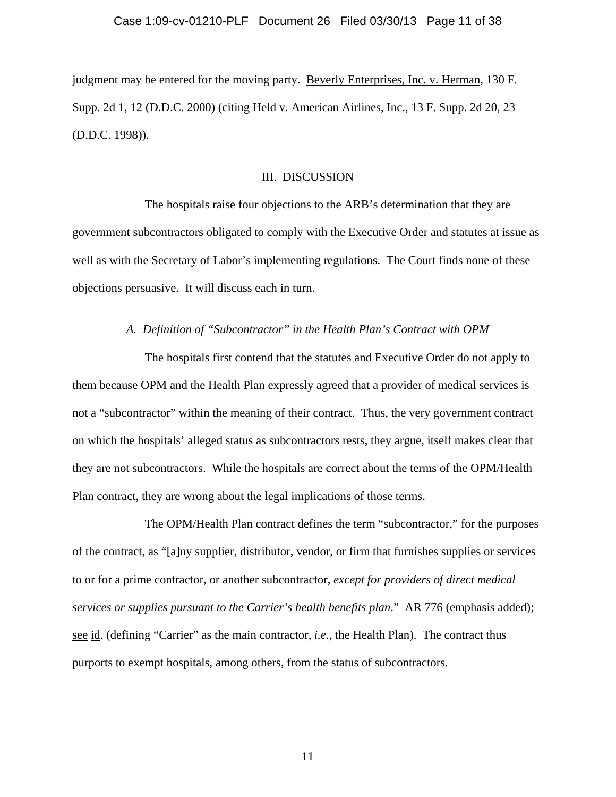# Case 1:09-cv-01210-PLF Document 26 Filed 03/30/13 Page 11 of 38

judgment may be entered for the moving party. Beverly Enterprises, Inc. v. Herman, 130 F. Supp. 2d 1, 12 (D.D.C. 2000) (citing Held v. American Airlines, Inc., 13 F. Supp. 2d 20, 23 (D.D.C. 1998)).

# III. DISCUSSION

 The hospitals raise four objections to the ARB's determination that they are government subcontractors obligated to comply with the Executive Order and statutes at issue as well as with the Secretary of Labor's implementing regulations. The Court finds none of these objections persuasive. It will discuss each in turn.

# *A. Definition of "Subcontractor" in the Health Plan's Contract with OPM*

 The hospitals first contend that the statutes and Executive Order do not apply to them because OPM and the Health Plan expressly agreed that a provider of medical services is not a "subcontractor" within the meaning of their contract. Thus, the very government contract on which the hospitals' alleged status as subcontractors rests, they argue, itself makes clear that they are not subcontractors. While the hospitals are correct about the terms of the OPM/Health Plan contract, they are wrong about the legal implications of those terms.

 The OPM/Health Plan contract defines the term "subcontractor," for the purposes of the contract, as "[a]ny supplier, distributor, vendor, or firm that furnishes supplies or services to or for a prime contractor, or another subcontractor, *except for providers of direct medical services or supplies pursuant to the Carrier's health benefits plan*." AR 776 (emphasis added); see id. (defining "Carrier" as the main contractor, *i.e.*, the Health Plan). The contract thus purports to exempt hospitals, among others, from the status of subcontractors.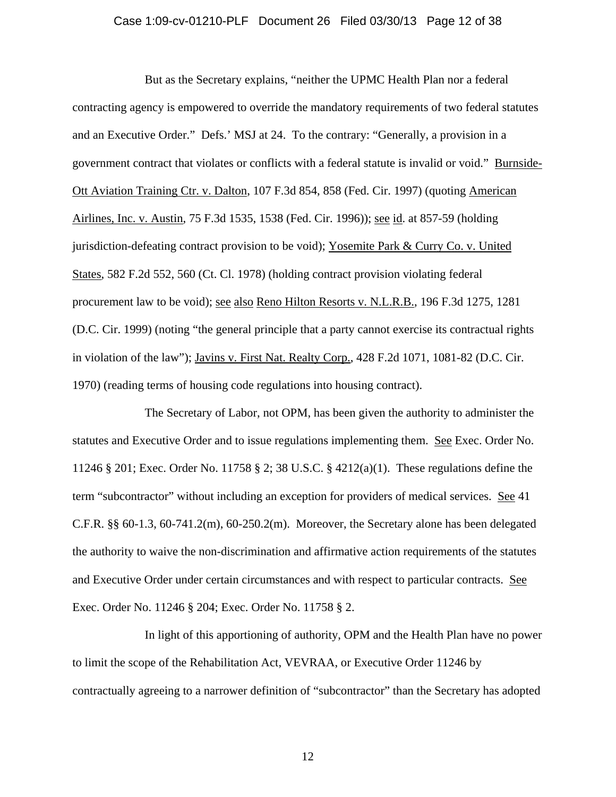#### Case 1:09-cv-01210-PLF Document 26 Filed 03/30/13 Page 12 of 38

 But as the Secretary explains, "neither the UPMC Health Plan nor a federal contracting agency is empowered to override the mandatory requirements of two federal statutes and an Executive Order." Defs.' MSJ at 24. To the contrary: "Generally, a provision in a government contract that violates or conflicts with a federal statute is invalid or void." Burnside-Ott Aviation Training Ctr. v. Dalton, 107 F.3d 854, 858 (Fed. Cir. 1997) (quoting American Airlines, Inc. v. Austin, 75 F.3d 1535, 1538 (Fed. Cir. 1996)); see id. at 857-59 (holding jurisdiction-defeating contract provision to be void); Yosemite Park & Curry Co. v. United States, 582 F.2d 552, 560 (Ct. Cl. 1978) (holding contract provision violating federal procurement law to be void); see also Reno Hilton Resorts v. N.L.R.B., 196 F.3d 1275, 1281 (D.C. Cir. 1999) (noting "the general principle that a party cannot exercise its contractual rights in violation of the law"); Javins v. First Nat. Realty Corp., 428 F.2d 1071, 1081-82 (D.C. Cir. 1970) (reading terms of housing code regulations into housing contract).

 The Secretary of Labor, not OPM, has been given the authority to administer the statutes and Executive Order and to issue regulations implementing them. See Exec. Order No. 11246 § 201; Exec. Order No. 11758 § 2; 38 U.S.C. § 4212(a)(1). These regulations define the term "subcontractor" without including an exception for providers of medical services. See 41 C.F.R.  $\S$  60-1.3, 60-741.2(m), 60-250.2(m). Moreover, the Secretary alone has been delegated the authority to waive the non-discrimination and affirmative action requirements of the statutes and Executive Order under certain circumstances and with respect to particular contracts. See Exec. Order No. 11246 § 204; Exec. Order No. 11758 § 2.

 In light of this apportioning of authority, OPM and the Health Plan have no power to limit the scope of the Rehabilitation Act, VEVRAA, or Executive Order 11246 by contractually agreeing to a narrower definition of "subcontractor" than the Secretary has adopted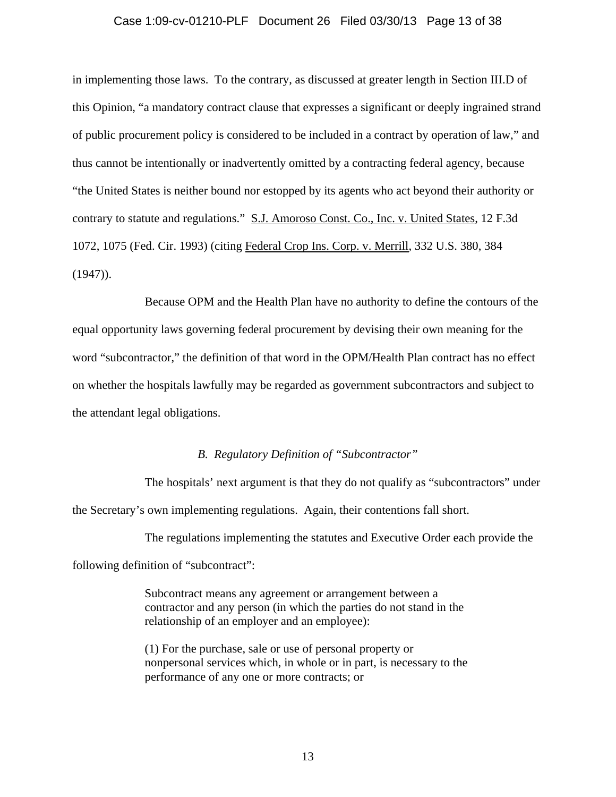### Case 1:09-cv-01210-PLF Document 26 Filed 03/30/13 Page 13 of 38

in implementing those laws. To the contrary, as discussed at greater length in Section III.D of this Opinion, "a mandatory contract clause that expresses a significant or deeply ingrained strand of public procurement policy is considered to be included in a contract by operation of law," and thus cannot be intentionally or inadvertently omitted by a contracting federal agency, because "the United States is neither bound nor estopped by its agents who act beyond their authority or contrary to statute and regulations." S.J. Amoroso Const. Co., Inc. v. United States, 12 F.3d 1072, 1075 (Fed. Cir. 1993) (citing Federal Crop Ins. Corp. v. Merrill, 332 U.S. 380, 384  $(1947)$ .

 Because OPM and the Health Plan have no authority to define the contours of the equal opportunity laws governing federal procurement by devising their own meaning for the word "subcontractor," the definition of that word in the OPM/Health Plan contract has no effect on whether the hospitals lawfully may be regarded as government subcontractors and subject to the attendant legal obligations.

# *B. Regulatory Definition of "Subcontractor"*

 The hospitals' next argument is that they do not qualify as "subcontractors" under the Secretary's own implementing regulations. Again, their contentions fall short.

 The regulations implementing the statutes and Executive Order each provide the following definition of "subcontract":

> Subcontract means any agreement or arrangement between a contractor and any person (in which the parties do not stand in the relationship of an employer and an employee):

(1) For the purchase, sale or use of personal property or nonpersonal services which, in whole or in part, is necessary to the performance of any one or more contracts; or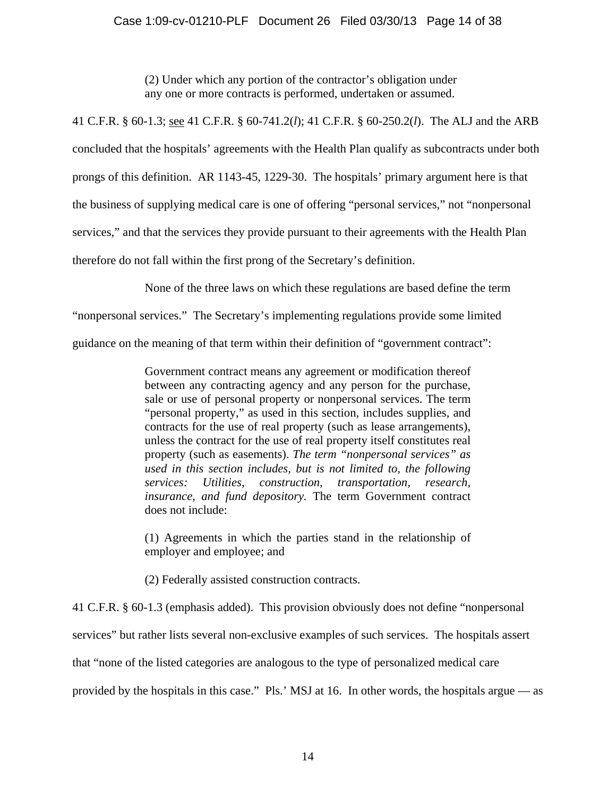# Case 1:09-cv-01210-PLF Document 26 Filed 03/30/13 Page 14 of 38

(2) Under which any portion of the contractor's obligation under any one or more contracts is performed, undertaken or assumed.

41 C.F.R. § 60-1.3; see 41 C.F.R. § 60-741.2(*l*); 41 C.F.R. § 60-250.2(*l*). The ALJ and the ARB concluded that the hospitals' agreements with the Health Plan qualify as subcontracts under both prongs of this definition. AR 1143-45, 1229-30. The hospitals' primary argument here is that the business of supplying medical care is one of offering "personal services," not "nonpersonal services," and that the services they provide pursuant to their agreements with the Health Plan therefore do not fall within the first prong of the Secretary's definition.

None of the three laws on which these regulations are based define the term

"nonpersonal services." The Secretary's implementing regulations provide some limited

guidance on the meaning of that term within their definition of "government contract":

Government contract means any agreement or modification thereof between any contracting agency and any person for the purchase, sale or use of personal property or nonpersonal services. The term "personal property," as used in this section, includes supplies, and contracts for the use of real property (such as lease arrangements), unless the contract for the use of real property itself constitutes real property (such as easements). *The term "nonpersonal services" as used in this section includes, but is not limited to, the following services: Utilities, construction, transportation, research, insurance, and fund depository.* The term Government contract does not include:

(1) Agreements in which the parties stand in the relationship of employer and employee; and

(2) Federally assisted construction contracts.

41 C.F.R. § 60-1.3 (emphasis added). This provision obviously does not define "nonpersonal services" but rather lists several non-exclusive examples of such services. The hospitals assert

that "none of the listed categories are analogous to the type of personalized medical care

provided by the hospitals in this case." Pls.' MSJ at 16. In other words, the hospitals argue — as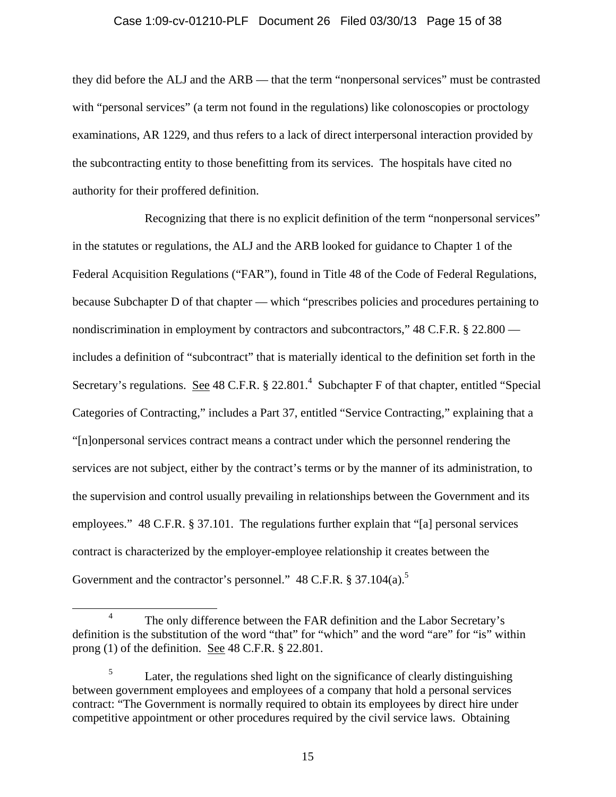## Case 1:09-cv-01210-PLF Document 26 Filed 03/30/13 Page 15 of 38

they did before the ALJ and the ARB — that the term "nonpersonal services" must be contrasted with "personal services" (a term not found in the regulations) like colonoscopies or proctology examinations, AR 1229, and thus refers to a lack of direct interpersonal interaction provided by the subcontracting entity to those benefitting from its services. The hospitals have cited no authority for their proffered definition.

 Recognizing that there is no explicit definition of the term "nonpersonal services" in the statutes or regulations, the ALJ and the ARB looked for guidance to Chapter 1 of the Federal Acquisition Regulations ("FAR"), found in Title 48 of the Code of Federal Regulations, because Subchapter D of that chapter — which "prescribes policies and procedures pertaining to nondiscrimination in employment by contractors and subcontractors," 48 C.F.R. § 22.800 includes a definition of "subcontract" that is materially identical to the definition set forth in the Secretary's regulations. See 48 C.F.R.  $\S 22.801.^4$  Subchapter F of that chapter, entitled "Special Categories of Contracting," includes a Part 37, entitled "Service Contracting," explaining that a "[n]onpersonal services contract means a contract under which the personnel rendering the services are not subject, either by the contract's terms or by the manner of its administration, to the supervision and control usually prevailing in relationships between the Government and its employees." 48 C.F.R. § 37.101. The regulations further explain that "[a] personal services contract is characterized by the employer-employee relationship it creates between the Government and the contractor's personnel." 48 C.F.R. § 37.104(a).<sup>5</sup>

 <sup>4</sup> The only difference between the FAR definition and the Labor Secretary's definition is the substitution of the word "that" for "which" and the word "are" for "is" within prong (1) of the definition. See 48 C.F.R. § 22.801.

<sup>5</sup> Later, the regulations shed light on the significance of clearly distinguishing between government employees and employees of a company that hold a personal services contract: "The Government is normally required to obtain its employees by direct hire under competitive appointment or other procedures required by the civil service laws. Obtaining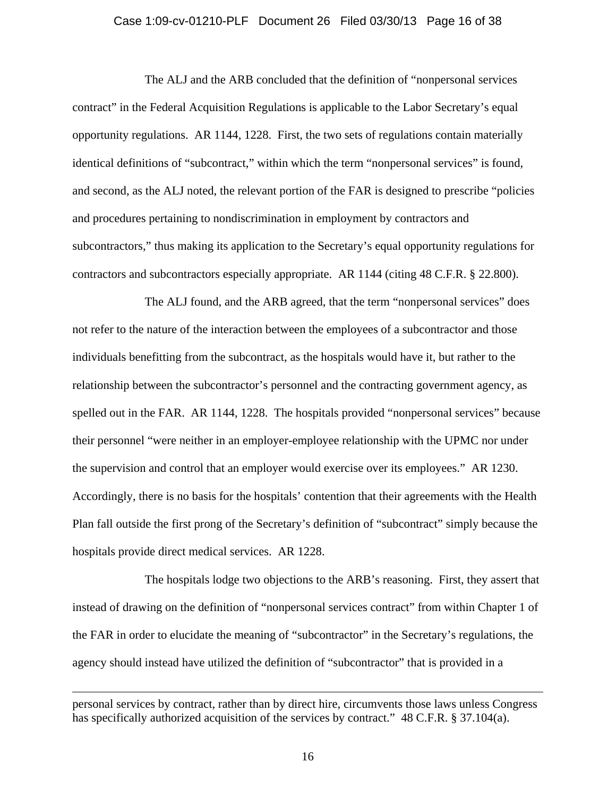#### Case 1:09-cv-01210-PLF Document 26 Filed 03/30/13 Page 16 of 38

 The ALJ and the ARB concluded that the definition of "nonpersonal services contract" in the Federal Acquisition Regulations is applicable to the Labor Secretary's equal opportunity regulations. AR 1144, 1228. First, the two sets of regulations contain materially identical definitions of "subcontract," within which the term "nonpersonal services" is found, and second, as the ALJ noted, the relevant portion of the FAR is designed to prescribe "policies and procedures pertaining to nondiscrimination in employment by contractors and subcontractors," thus making its application to the Secretary's equal opportunity regulations for contractors and subcontractors especially appropriate. AR 1144 (citing 48 C.F.R. § 22.800).

 The ALJ found, and the ARB agreed, that the term "nonpersonal services" does not refer to the nature of the interaction between the employees of a subcontractor and those individuals benefitting from the subcontract, as the hospitals would have it, but rather to the relationship between the subcontractor's personnel and the contracting government agency, as spelled out in the FAR. AR 1144, 1228. The hospitals provided "nonpersonal services" because their personnel "were neither in an employer-employee relationship with the UPMC nor under the supervision and control that an employer would exercise over its employees." AR 1230. Accordingly, there is no basis for the hospitals' contention that their agreements with the Health Plan fall outside the first prong of the Secretary's definition of "subcontract" simply because the hospitals provide direct medical services. AR 1228.

 The hospitals lodge two objections to the ARB's reasoning. First, they assert that instead of drawing on the definition of "nonpersonal services contract" from within Chapter 1 of the FAR in order to elucidate the meaning of "subcontractor" in the Secretary's regulations, the agency should instead have utilized the definition of "subcontractor" that is provided in a

 $\overline{a}$ 

personal services by contract, rather than by direct hire, circumvents those laws unless Congress has specifically authorized acquisition of the services by contract." 48 C.F.R. § 37.104(a).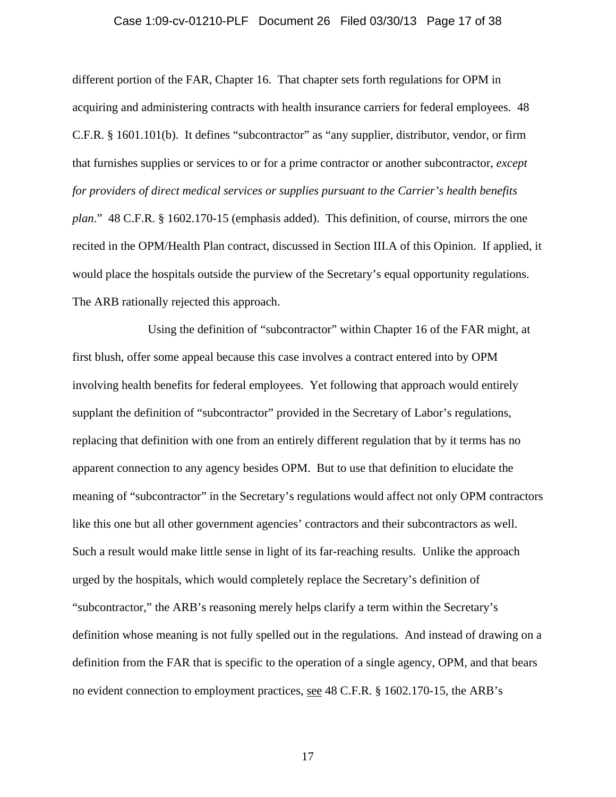#### Case 1:09-cv-01210-PLF Document 26 Filed 03/30/13 Page 17 of 38

different portion of the FAR, Chapter 16. That chapter sets forth regulations for OPM in acquiring and administering contracts with health insurance carriers for federal employees. 48 C.F.R. § 1601.101(b). It defines "subcontractor" as "any supplier, distributor, vendor, or firm that furnishes supplies or services to or for a prime contractor or another subcontractor, *except for providers of direct medical services or supplies pursuant to the Carrier's health benefits plan*." 48 C.F.R. § 1602.170-15 (emphasis added). This definition, of course, mirrors the one recited in the OPM/Health Plan contract, discussed in Section III.A of this Opinion. If applied, it would place the hospitals outside the purview of the Secretary's equal opportunity regulations. The ARB rationally rejected this approach.

 Using the definition of "subcontractor" within Chapter 16 of the FAR might, at first blush, offer some appeal because this case involves a contract entered into by OPM involving health benefits for federal employees. Yet following that approach would entirely supplant the definition of "subcontractor" provided in the Secretary of Labor's regulations, replacing that definition with one from an entirely different regulation that by it terms has no apparent connection to any agency besides OPM. But to use that definition to elucidate the meaning of "subcontractor" in the Secretary's regulations would affect not only OPM contractors like this one but all other government agencies' contractors and their subcontractors as well. Such a result would make little sense in light of its far-reaching results. Unlike the approach urged by the hospitals, which would completely replace the Secretary's definition of "subcontractor," the ARB's reasoning merely helps clarify a term within the Secretary's definition whose meaning is not fully spelled out in the regulations. And instead of drawing on a definition from the FAR that is specific to the operation of a single agency, OPM, and that bears no evident connection to employment practices, see 48 C.F.R. § 1602.170-15, the ARB's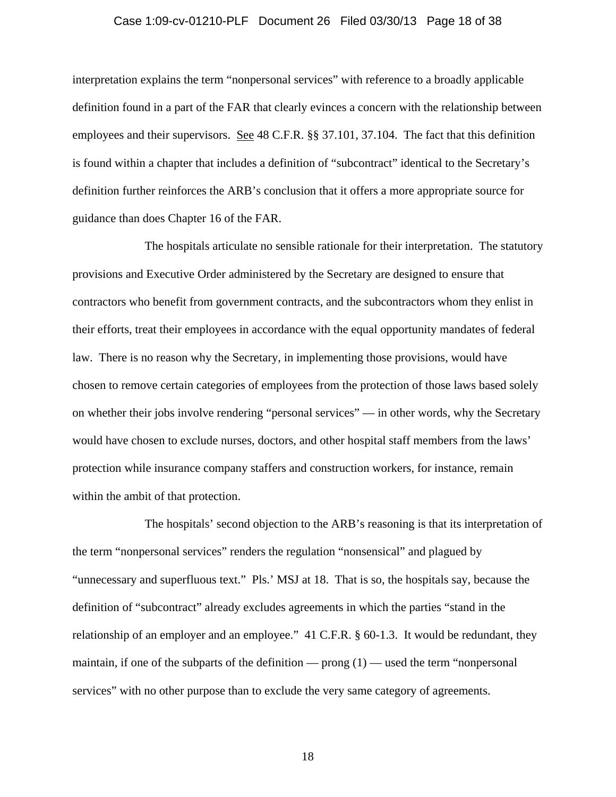### Case 1:09-cv-01210-PLF Document 26 Filed 03/30/13 Page 18 of 38

interpretation explains the term "nonpersonal services" with reference to a broadly applicable definition found in a part of the FAR that clearly evinces a concern with the relationship between employees and their supervisors. See 48 C.F.R. §§ 37.101, 37.104. The fact that this definition is found within a chapter that includes a definition of "subcontract" identical to the Secretary's definition further reinforces the ARB's conclusion that it offers a more appropriate source for guidance than does Chapter 16 of the FAR.

 The hospitals articulate no sensible rationale for their interpretation. The statutory provisions and Executive Order administered by the Secretary are designed to ensure that contractors who benefit from government contracts, and the subcontractors whom they enlist in their efforts, treat their employees in accordance with the equal opportunity mandates of federal law. There is no reason why the Secretary, in implementing those provisions, would have chosen to remove certain categories of employees from the protection of those laws based solely on whether their jobs involve rendering "personal services" — in other words, why the Secretary would have chosen to exclude nurses, doctors, and other hospital staff members from the laws' protection while insurance company staffers and construction workers, for instance, remain within the ambit of that protection.

 The hospitals' second objection to the ARB's reasoning is that its interpretation of the term "nonpersonal services" renders the regulation "nonsensical" and plagued by "unnecessary and superfluous text." Pls.' MSJ at 18. That is so, the hospitals say, because the definition of "subcontract" already excludes agreements in which the parties "stand in the relationship of an employer and an employee." 41 C.F.R. § 60-1.3. It would be redundant, they maintain, if one of the subparts of the definition — prong  $(1)$  — used the term "nonpersonal services" with no other purpose than to exclude the very same category of agreements.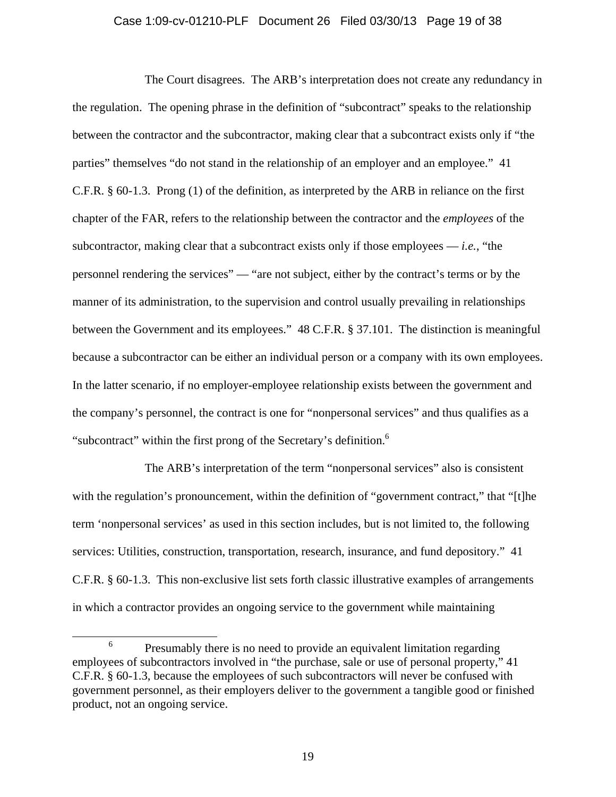### Case 1:09-cv-01210-PLF Document 26 Filed 03/30/13 Page 19 of 38

 The Court disagrees. The ARB's interpretation does not create any redundancy in the regulation. The opening phrase in the definition of "subcontract" speaks to the relationship between the contractor and the subcontractor, making clear that a subcontract exists only if "the parties" themselves "do not stand in the relationship of an employer and an employee." 41 C.F.R. § 60-1.3. Prong (1) of the definition, as interpreted by the ARB in reliance on the first chapter of the FAR, refers to the relationship between the contractor and the *employees* of the subcontractor, making clear that a subcontract exists only if those employees  $-i.e.,$  "the personnel rendering the services" — "are not subject, either by the contract's terms or by the manner of its administration, to the supervision and control usually prevailing in relationships between the Government and its employees." 48 C.F.R. § 37.101. The distinction is meaningful because a subcontractor can be either an individual person or a company with its own employees. In the latter scenario, if no employer-employee relationship exists between the government and the company's personnel, the contract is one for "nonpersonal services" and thus qualifies as a "subcontract" within the first prong of the Secretary's definition.<sup>6</sup>

 The ARB's interpretation of the term "nonpersonal services" also is consistent with the regulation's pronouncement, within the definition of "government contract," that "[t]he term 'nonpersonal services' as used in this section includes, but is not limited to, the following services: Utilities, construction, transportation, research, insurance, and fund depository." 41 C.F.R. § 60-1.3. This non-exclusive list sets forth classic illustrative examples of arrangements in which a contractor provides an ongoing service to the government while maintaining

 <sup>6</sup>  $6 \text{$  Presumably there is no need to provide an equivalent limitation regarding employees of subcontractors involved in "the purchase, sale or use of personal property," 41 C.F.R. § 60-1.3, because the employees of such subcontractors will never be confused with government personnel, as their employers deliver to the government a tangible good or finished product, not an ongoing service.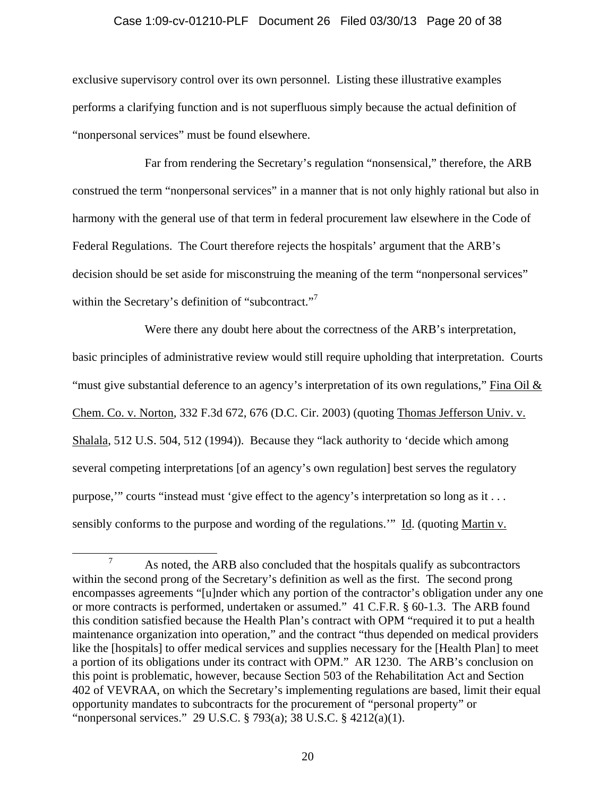### Case 1:09-cv-01210-PLF Document 26 Filed 03/30/13 Page 20 of 38

exclusive supervisory control over its own personnel. Listing these illustrative examples performs a clarifying function and is not superfluous simply because the actual definition of "nonpersonal services" must be found elsewhere.

 Far from rendering the Secretary's regulation "nonsensical," therefore, the ARB construed the term "nonpersonal services" in a manner that is not only highly rational but also in harmony with the general use of that term in federal procurement law elsewhere in the Code of Federal Regulations. The Court therefore rejects the hospitals' argument that the ARB's decision should be set aside for misconstruing the meaning of the term "nonpersonal services" within the Secretary's definition of "subcontract."<sup>7</sup>

 Were there any doubt here about the correctness of the ARB's interpretation, basic principles of administrative review would still require upholding that interpretation. Courts "must give substantial deference to an agency's interpretation of its own regulations," Fina Oil  $\&$ Chem. Co. v. Norton, 332 F.3d 672, 676 (D.C. Cir. 2003) (quoting Thomas Jefferson Univ. v. Shalala, 512 U.S. 504, 512 (1994)). Because they "lack authority to 'decide which among several competing interpretations [of an agency's own regulation] best serves the regulatory purpose,'" courts "instead must 'give effect to the agency's interpretation so long as it . . . sensibly conforms to the purpose and wording of the regulations.'" Id. (quoting Martin v.

 $\overline{7}$  $\alpha$ <sup>7</sup> As noted, the ARB also concluded that the hospitals qualify as subcontractors within the second prong of the Secretary's definition as well as the first. The second prong encompasses agreements "[u]nder which any portion of the contractor's obligation under any one or more contracts is performed, undertaken or assumed." 41 C.F.R. § 60-1.3. The ARB found this condition satisfied because the Health Plan's contract with OPM "required it to put a health maintenance organization into operation," and the contract "thus depended on medical providers like the [hospitals] to offer medical services and supplies necessary for the [Health Plan] to meet a portion of its obligations under its contract with OPM." AR 1230. The ARB's conclusion on this point is problematic, however, because Section 503 of the Rehabilitation Act and Section 402 of VEVRAA, on which the Secretary's implementing regulations are based, limit their equal opportunity mandates to subcontracts for the procurement of "personal property" or "nonpersonal services." 29 U.S.C. § 793(a); 38 U.S.C. § 4212(a)(1).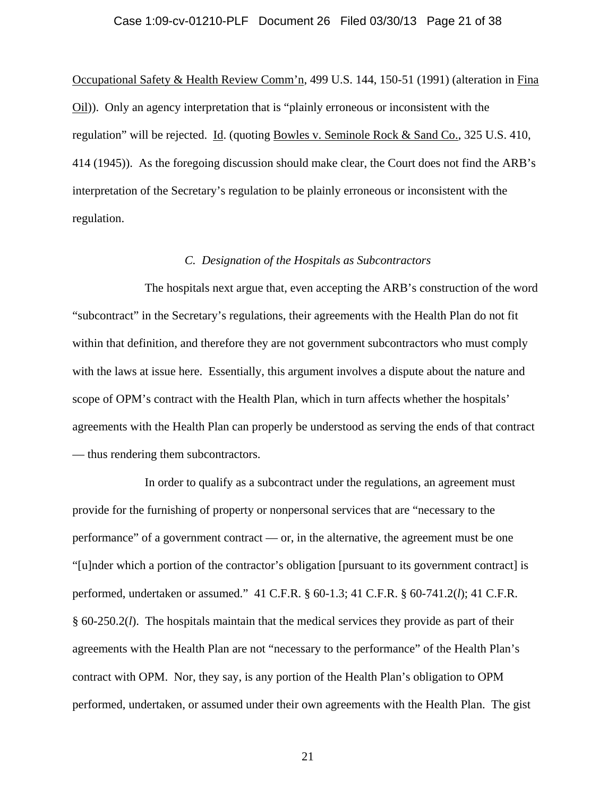### Case 1:09-cv-01210-PLF Document 26 Filed 03/30/13 Page 21 of 38

Occupational Safety & Health Review Comm'n, 499 U.S. 144, 150-51 (1991) (alteration in Fina Oil)). Only an agency interpretation that is "plainly erroneous or inconsistent with the regulation" will be rejected. Id. (quoting Bowles v. Seminole Rock & Sand Co., 325 U.S. 410, 414 (1945)). As the foregoing discussion should make clear, the Court does not find the ARB's interpretation of the Secretary's regulation to be plainly erroneous or inconsistent with the regulation.

## *C. Designation of the Hospitals as Subcontractors*

 The hospitals next argue that, even accepting the ARB's construction of the word "subcontract" in the Secretary's regulations, their agreements with the Health Plan do not fit within that definition, and therefore they are not government subcontractors who must comply with the laws at issue here. Essentially, this argument involves a dispute about the nature and scope of OPM's contract with the Health Plan, which in turn affects whether the hospitals' agreements with the Health Plan can properly be understood as serving the ends of that contract — thus rendering them subcontractors.

 In order to qualify as a subcontract under the regulations, an agreement must provide for the furnishing of property or nonpersonal services that are "necessary to the performance" of a government contract — or, in the alternative, the agreement must be one "[u]nder which a portion of the contractor's obligation [pursuant to its government contract] is performed, undertaken or assumed." 41 C.F.R. § 60-1.3; 41 C.F.R. § 60-741.2(*l*); 41 C.F.R. § 60-250.2(*l*). The hospitals maintain that the medical services they provide as part of their agreements with the Health Plan are not "necessary to the performance" of the Health Plan's contract with OPM. Nor, they say, is any portion of the Health Plan's obligation to OPM performed, undertaken, or assumed under their own agreements with the Health Plan. The gist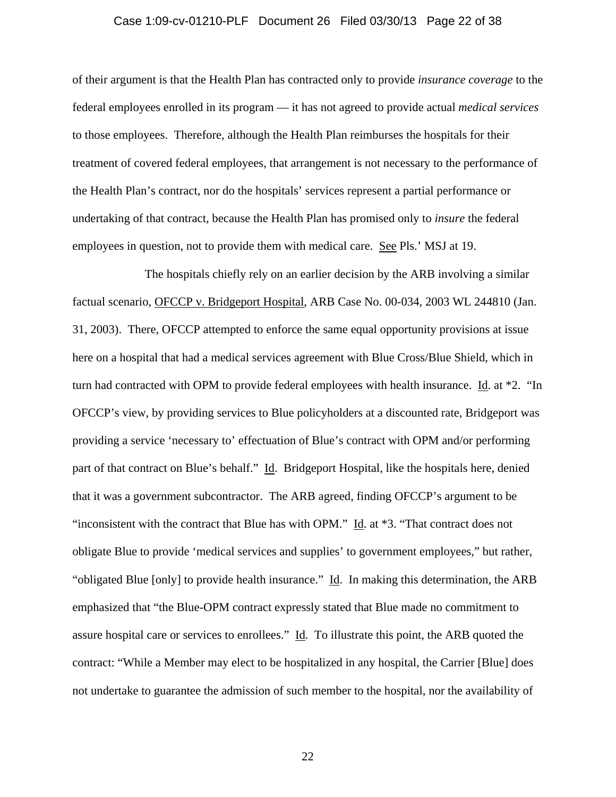#### Case 1:09-cv-01210-PLF Document 26 Filed 03/30/13 Page 22 of 38

of their argument is that the Health Plan has contracted only to provide *insurance coverage* to the federal employees enrolled in its program — it has not agreed to provide actual *medical services* to those employees. Therefore, although the Health Plan reimburses the hospitals for their treatment of covered federal employees, that arrangement is not necessary to the performance of the Health Plan's contract, nor do the hospitals' services represent a partial performance or undertaking of that contract, because the Health Plan has promised only to *insure* the federal employees in question, not to provide them with medical care. See Pls.' MSJ at 19.

 The hospitals chiefly rely on an earlier decision by the ARB involving a similar factual scenario, OFCCP v. Bridgeport Hospital, ARB Case No. 00-034, 2003 WL 244810 (Jan. 31, 2003). There, OFCCP attempted to enforce the same equal opportunity provisions at issue here on a hospital that had a medical services agreement with Blue Cross/Blue Shield, which in turn had contracted with OPM to provide federal employees with health insurance. Id. at \*2. "In OFCCP's view, by providing services to Blue policyholders at a discounted rate, Bridgeport was providing a service 'necessary to' effectuation of Blue's contract with OPM and/or performing part of that contract on Blue's behalf." Id. Bridgeport Hospital, like the hospitals here, denied that it was a government subcontractor. The ARB agreed, finding OFCCP's argument to be "inconsistent with the contract that Blue has with OPM." Id. at \*3. "That contract does not obligate Blue to provide 'medical services and supplies' to government employees," but rather, "obligated Blue [only] to provide health insurance."  $\underline{Id}$ . In making this determination, the ARB emphasized that "the Blue-OPM contract expressly stated that Blue made no commitment to assure hospital care or services to enrollees." Id. To illustrate this point, the ARB quoted the contract: "While a Member may elect to be hospitalized in any hospital, the Carrier [Blue] does not undertake to guarantee the admission of such member to the hospital, nor the availability of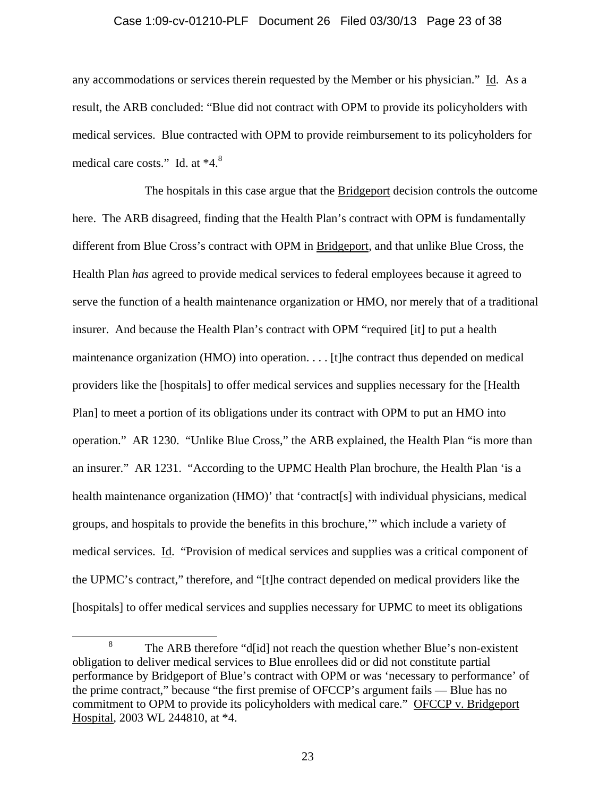#### Case 1:09-cv-01210-PLF Document 26 Filed 03/30/13 Page 23 of 38

any accommodations or services therein requested by the Member or his physician." Id. As a result, the ARB concluded: "Blue did not contract with OPM to provide its policyholders with medical services. Blue contracted with OPM to provide reimbursement to its policyholders for medical care costs." Id. at \*4.8

 The hospitals in this case argue that the Bridgeport decision controls the outcome here. The ARB disagreed, finding that the Health Plan's contract with OPM is fundamentally different from Blue Cross's contract with OPM in Bridgeport, and that unlike Blue Cross, the Health Plan *has* agreed to provide medical services to federal employees because it agreed to serve the function of a health maintenance organization or HMO, nor merely that of a traditional insurer. And because the Health Plan's contract with OPM "required [it] to put a health maintenance organization (HMO) into operation. . . . [t]he contract thus depended on medical providers like the [hospitals] to offer medical services and supplies necessary for the [Health Plan] to meet a portion of its obligations under its contract with OPM to put an HMO into operation." AR 1230. "Unlike Blue Cross," the ARB explained, the Health Plan "is more than an insurer." AR 1231. "According to the UPMC Health Plan brochure, the Health Plan 'is a health maintenance organization (HMO)' that 'contract[s] with individual physicians, medical groups, and hospitals to provide the benefits in this brochure,'" which include a variety of medical services. Id. "Provision of medical services and supplies was a critical component of the UPMC's contract," therefore, and "[t]he contract depended on medical providers like the [hospitals] to offer medical services and supplies necessary for UPMC to meet its obligations

 <sup>8</sup> <sup>8</sup> The ARB therefore "d<sup>[jd]</sup> not reach the question whether Blue's non-existent obligation to deliver medical services to Blue enrollees did or did not constitute partial performance by Bridgeport of Blue's contract with OPM or was 'necessary to performance' of the prime contract," because "the first premise of OFCCP's argument fails — Blue has no commitment to OPM to provide its policyholders with medical care." OFCCP v. Bridgeport Hospital, 2003 WL 244810, at \*4.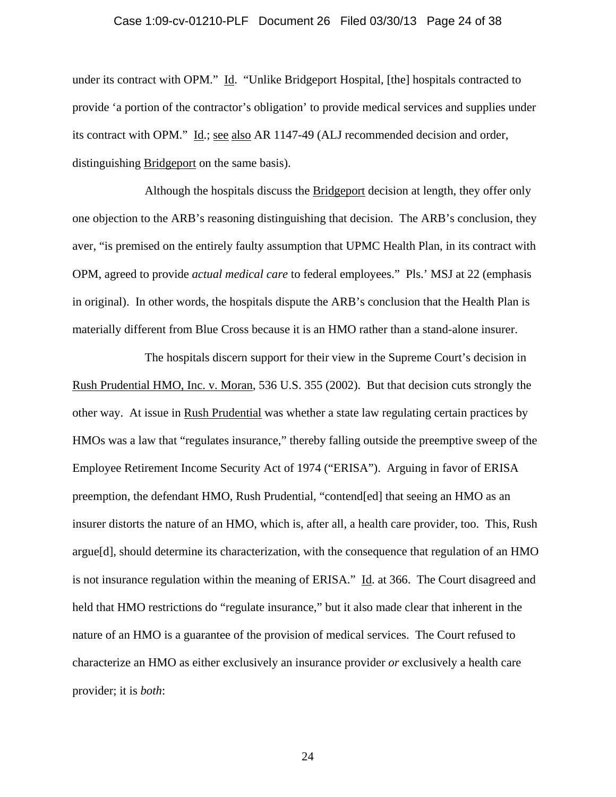#### Case 1:09-cv-01210-PLF Document 26 Filed 03/30/13 Page 24 of 38

under its contract with OPM." Id. "Unlike Bridgeport Hospital, [the] hospitals contracted to provide 'a portion of the contractor's obligation' to provide medical services and supplies under its contract with OPM." Id.; see also AR 1147-49 (ALJ recommended decision and order, distinguishing Bridgeport on the same basis).

 Although the hospitals discuss the Bridgeport decision at length, they offer only one objection to the ARB's reasoning distinguishing that decision. The ARB's conclusion, they aver, "is premised on the entirely faulty assumption that UPMC Health Plan, in its contract with OPM, agreed to provide *actual medical care* to federal employees." Pls.' MSJ at 22 (emphasis in original). In other words, the hospitals dispute the ARB's conclusion that the Health Plan is materially different from Blue Cross because it is an HMO rather than a stand-alone insurer.

 The hospitals discern support for their view in the Supreme Court's decision in Rush Prudential HMO, Inc. v. Moran, 536 U.S. 355 (2002). But that decision cuts strongly the other way. At issue in Rush Prudential was whether a state law regulating certain practices by HMOs was a law that "regulates insurance," thereby falling outside the preemptive sweep of the Employee Retirement Income Security Act of 1974 ("ERISA"). Arguing in favor of ERISA preemption, the defendant HMO, Rush Prudential, "contend[ed] that seeing an HMO as an insurer distorts the nature of an HMO, which is, after all, a health care provider, too. This, Rush argue[d], should determine its characterization, with the consequence that regulation of an HMO is not insurance regulation within the meaning of ERISA." Id. at 366. The Court disagreed and held that HMO restrictions do "regulate insurance," but it also made clear that inherent in the nature of an HMO is a guarantee of the provision of medical services. The Court refused to characterize an HMO as either exclusively an insurance provider *or* exclusively a health care provider; it is *both*: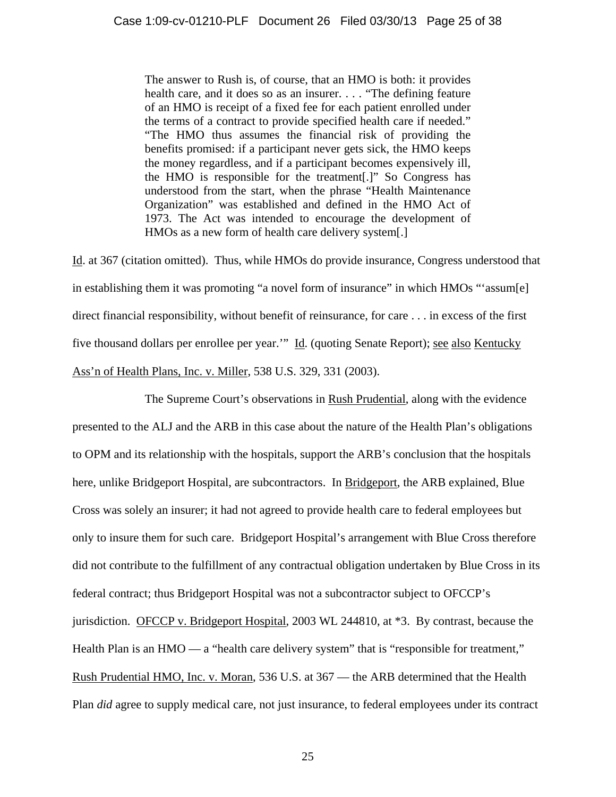The answer to Rush is, of course, that an HMO is both: it provides health care, and it does so as an insurer. . . . "The defining feature" of an HMO is receipt of a fixed fee for each patient enrolled under the terms of a contract to provide specified health care if needed." "The HMO thus assumes the financial risk of providing the benefits promised: if a participant never gets sick, the HMO keeps the money regardless, and if a participant becomes expensively ill, the HMO is responsible for the treatment[.]" So Congress has understood from the start, when the phrase "Health Maintenance Organization" was established and defined in the HMO Act of 1973. The Act was intended to encourage the development of HMOs as a new form of health care delivery system[.]

Id. at 367 (citation omitted). Thus, while HMOs do provide insurance, Congress understood that in establishing them it was promoting "a novel form of insurance" in which HMOs "'assum[e] direct financial responsibility, without benefit of reinsurance, for care . . . in excess of the first five thousand dollars per enrollee per year.'" Id. (quoting Senate Report); see also Kentucky Ass'n of Health Plans, Inc. v. Miller, 538 U.S. 329, 331 (2003).

The Supreme Court's observations in Rush Prudential, along with the evidence presented to the ALJ and the ARB in this case about the nature of the Health Plan's obligations to OPM and its relationship with the hospitals, support the ARB's conclusion that the hospitals here, unlike Bridgeport Hospital, are subcontractors. In Bridgeport, the ARB explained, Blue Cross was solely an insurer; it had not agreed to provide health care to federal employees but only to insure them for such care. Bridgeport Hospital's arrangement with Blue Cross therefore did not contribute to the fulfillment of any contractual obligation undertaken by Blue Cross in its federal contract; thus Bridgeport Hospital was not a subcontractor subject to OFCCP's jurisdiction. OFCCP v. Bridgeport Hospital, 2003 WL 244810, at \*3. By contrast, because the Health Plan is an HMO — a "health care delivery system" that is "responsible for treatment," Rush Prudential HMO, Inc. v. Moran, 536 U.S. at 367 — the ARB determined that the Health Plan *did* agree to supply medical care, not just insurance, to federal employees under its contract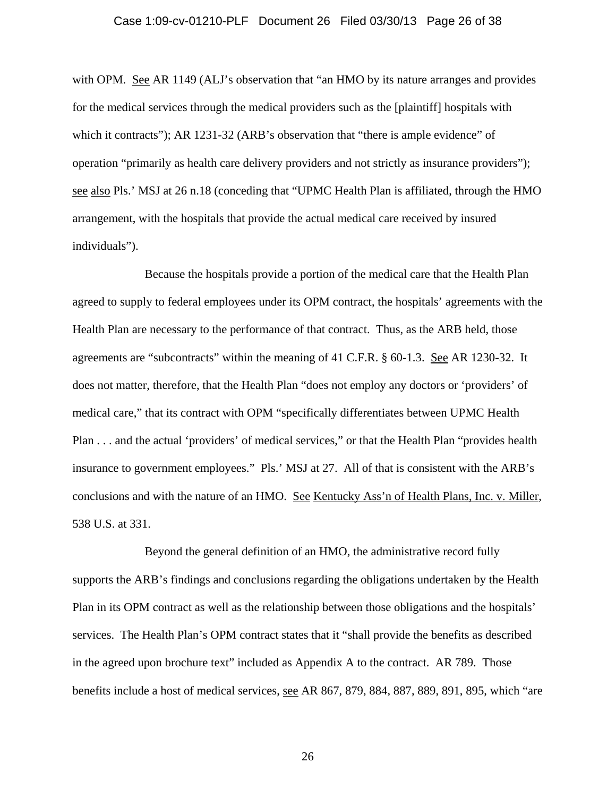### Case 1:09-cv-01210-PLF Document 26 Filed 03/30/13 Page 26 of 38

with OPM. See AR 1149 (ALJ's observation that "an HMO by its nature arranges and provides for the medical services through the medical providers such as the [plaintiff] hospitals with which it contracts"); AR 1231-32 (ARB's observation that "there is ample evidence" of operation "primarily as health care delivery providers and not strictly as insurance providers"); see also Pls.' MSJ at 26 n.18 (conceding that "UPMC Health Plan is affiliated, through the HMO arrangement, with the hospitals that provide the actual medical care received by insured individuals").

 Because the hospitals provide a portion of the medical care that the Health Plan agreed to supply to federal employees under its OPM contract, the hospitals' agreements with the Health Plan are necessary to the performance of that contract. Thus, as the ARB held, those agreements are "subcontracts" within the meaning of 41 C.F.R. § 60-1.3. See AR 1230-32. It does not matter, therefore, that the Health Plan "does not employ any doctors or 'providers' of medical care," that its contract with OPM "specifically differentiates between UPMC Health Plan . . . and the actual 'providers' of medical services," or that the Health Plan "provides health insurance to government employees." Pls.' MSJ at 27. All of that is consistent with the ARB's conclusions and with the nature of an HMO. See Kentucky Ass'n of Health Plans, Inc. v. Miller, 538 U.S. at 331.

 Beyond the general definition of an HMO, the administrative record fully supports the ARB's findings and conclusions regarding the obligations undertaken by the Health Plan in its OPM contract as well as the relationship between those obligations and the hospitals' services. The Health Plan's OPM contract states that it "shall provide the benefits as described in the agreed upon brochure text" included as Appendix A to the contract. AR 789. Those benefits include a host of medical services, see AR 867, 879, 884, 887, 889, 891, 895, which "are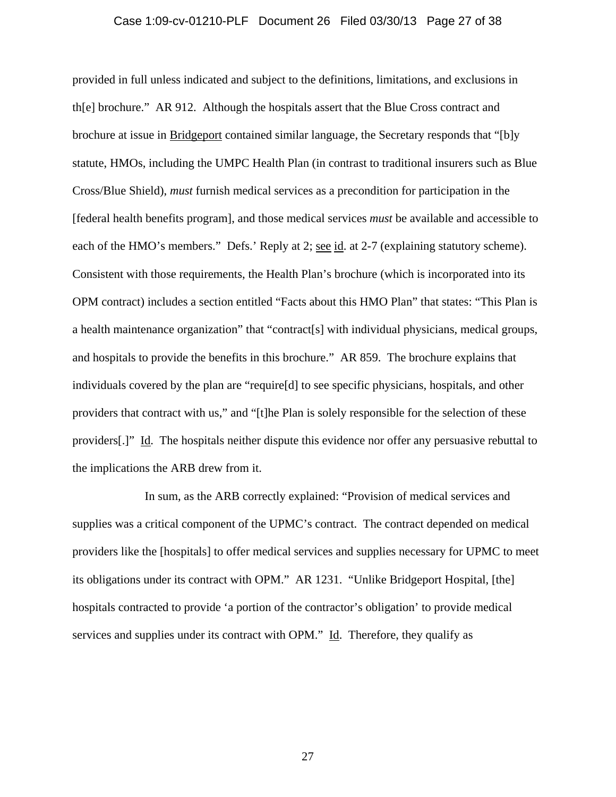### Case 1:09-cv-01210-PLF Document 26 Filed 03/30/13 Page 27 of 38

provided in full unless indicated and subject to the definitions, limitations, and exclusions in th[e] brochure." AR 912. Although the hospitals assert that the Blue Cross contract and brochure at issue in Bridgeport contained similar language, the Secretary responds that "[b]y statute, HMOs, including the UMPC Health Plan (in contrast to traditional insurers such as Blue Cross/Blue Shield), *must* furnish medical services as a precondition for participation in the [federal health benefits program], and those medical services *must* be available and accessible to each of the HMO's members." Defs.' Reply at 2; see id. at 2-7 (explaining statutory scheme). Consistent with those requirements, the Health Plan's brochure (which is incorporated into its OPM contract) includes a section entitled "Facts about this HMO Plan" that states: "This Plan is a health maintenance organization" that "contract[s] with individual physicians, medical groups, and hospitals to provide the benefits in this brochure." AR 859. The brochure explains that individuals covered by the plan are "require[d] to see specific physicians, hospitals, and other providers that contract with us," and "[t]he Plan is solely responsible for the selection of these providers[.]" Id. The hospitals neither dispute this evidence nor offer any persuasive rebuttal to the implications the ARB drew from it.

 In sum, as the ARB correctly explained: "Provision of medical services and supplies was a critical component of the UPMC's contract. The contract depended on medical providers like the [hospitals] to offer medical services and supplies necessary for UPMC to meet its obligations under its contract with OPM." AR 1231. "Unlike Bridgeport Hospital, [the] hospitals contracted to provide 'a portion of the contractor's obligation' to provide medical services and supplies under its contract with OPM." Id. Therefore, they qualify as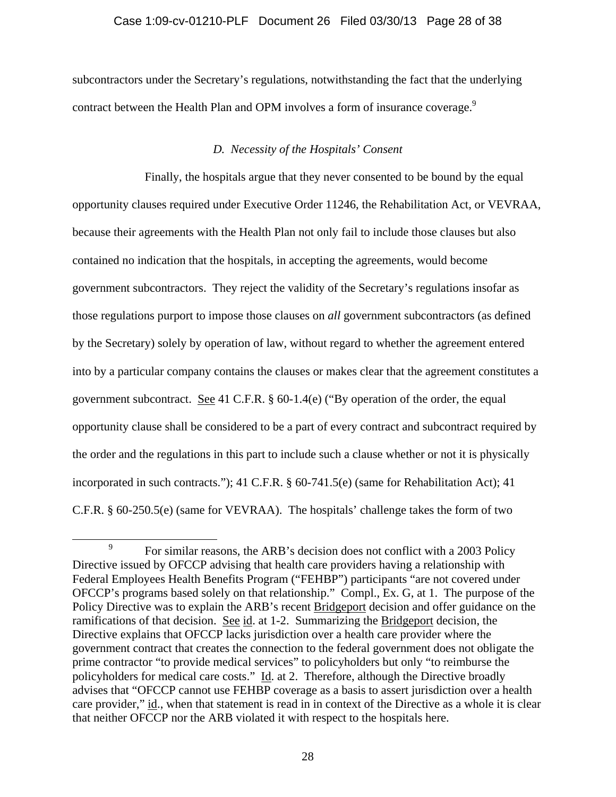# Case 1:09-cv-01210-PLF Document 26 Filed 03/30/13 Page 28 of 38

subcontractors under the Secretary's regulations, notwithstanding the fact that the underlying contract between the Health Plan and OPM involves a form of insurance coverage.<sup>9</sup>

# *D. Necessity of the Hospitals' Consent*

 Finally, the hospitals argue that they never consented to be bound by the equal opportunity clauses required under Executive Order 11246, the Rehabilitation Act, or VEVRAA, because their agreements with the Health Plan not only fail to include those clauses but also contained no indication that the hospitals, in accepting the agreements, would become government subcontractors. They reject the validity of the Secretary's regulations insofar as those regulations purport to impose those clauses on *all* government subcontractors (as defined by the Secretary) solely by operation of law, without regard to whether the agreement entered into by a particular company contains the clauses or makes clear that the agreement constitutes a government subcontract. See 41 C.F.R. § 60-1.4(e) ("By operation of the order, the equal opportunity clause shall be considered to be a part of every contract and subcontract required by the order and the regulations in this part to include such a clause whether or not it is physically incorporated in such contracts."); 41 C.F.R. § 60-741.5(e) (same for Rehabilitation Act); 41 C.F.R. § 60-250.5(e) (same for VEVRAA). The hospitals' challenge takes the form of two

 <sup>9</sup> <sup>9</sup> For similar reasons, the ARB's decision does not conflict with a 2003 Policy Directive issued by OFCCP advising that health care providers having a relationship with Federal Employees Health Benefits Program ("FEHBP") participants "are not covered under OFCCP's programs based solely on that relationship." Compl., Ex. G, at 1. The purpose of the Policy Directive was to explain the ARB's recent Bridgeport decision and offer guidance on the ramifications of that decision. See id. at 1-2. Summarizing the Bridgeport decision, the Directive explains that OFCCP lacks jurisdiction over a health care provider where the government contract that creates the connection to the federal government does not obligate the prime contractor "to provide medical services" to policyholders but only "to reimburse the policyholders for medical care costs." Id. at 2. Therefore, although the Directive broadly advises that "OFCCP cannot use FEHBP coverage as a basis to assert jurisdiction over a health care provider," id., when that statement is read in in context of the Directive as a whole it is clear that neither OFCCP nor the ARB violated it with respect to the hospitals here.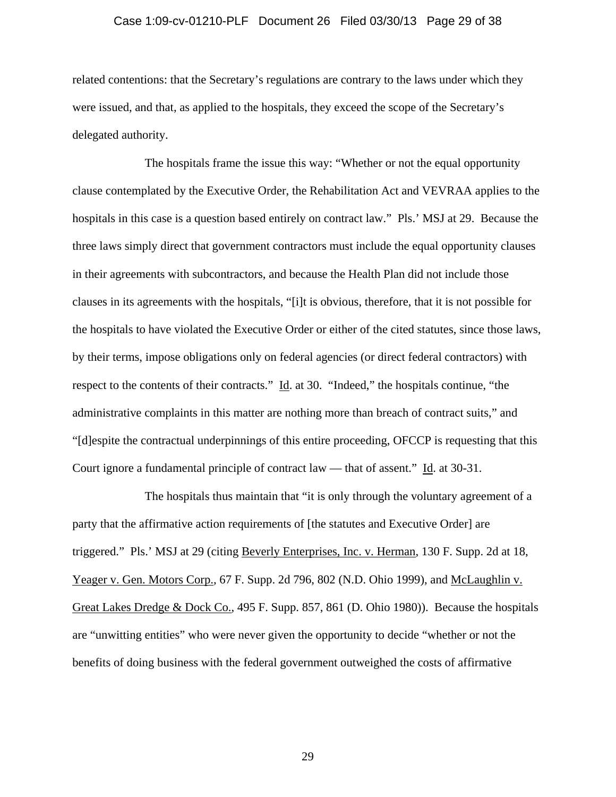### Case 1:09-cv-01210-PLF Document 26 Filed 03/30/13 Page 29 of 38

related contentions: that the Secretary's regulations are contrary to the laws under which they were issued, and that, as applied to the hospitals, they exceed the scope of the Secretary's delegated authority.

 The hospitals frame the issue this way: "Whether or not the equal opportunity clause contemplated by the Executive Order, the Rehabilitation Act and VEVRAA applies to the hospitals in this case is a question based entirely on contract law." Pls.' MSJ at 29. Because the three laws simply direct that government contractors must include the equal opportunity clauses in their agreements with subcontractors, and because the Health Plan did not include those clauses in its agreements with the hospitals, "[i]t is obvious, therefore, that it is not possible for the hospitals to have violated the Executive Order or either of the cited statutes, since those laws, by their terms, impose obligations only on federal agencies (or direct federal contractors) with respect to the contents of their contracts." Id. at 30. "Indeed," the hospitals continue, "the administrative complaints in this matter are nothing more than breach of contract suits," and "[d]espite the contractual underpinnings of this entire proceeding, OFCCP is requesting that this Court ignore a fundamental principle of contract law — that of assent." Id. at 30-31.

 The hospitals thus maintain that "it is only through the voluntary agreement of a party that the affirmative action requirements of [the statutes and Executive Order] are triggered." Pls.' MSJ at 29 (citing Beverly Enterprises, Inc. v. Herman, 130 F. Supp. 2d at 18, Yeager v. Gen. Motors Corp., 67 F. Supp. 2d 796, 802 (N.D. Ohio 1999), and McLaughlin v. Great Lakes Dredge & Dock Co., 495 F. Supp. 857, 861 (D. Ohio 1980)). Because the hospitals are "unwitting entities" who were never given the opportunity to decide "whether or not the benefits of doing business with the federal government outweighed the costs of affirmative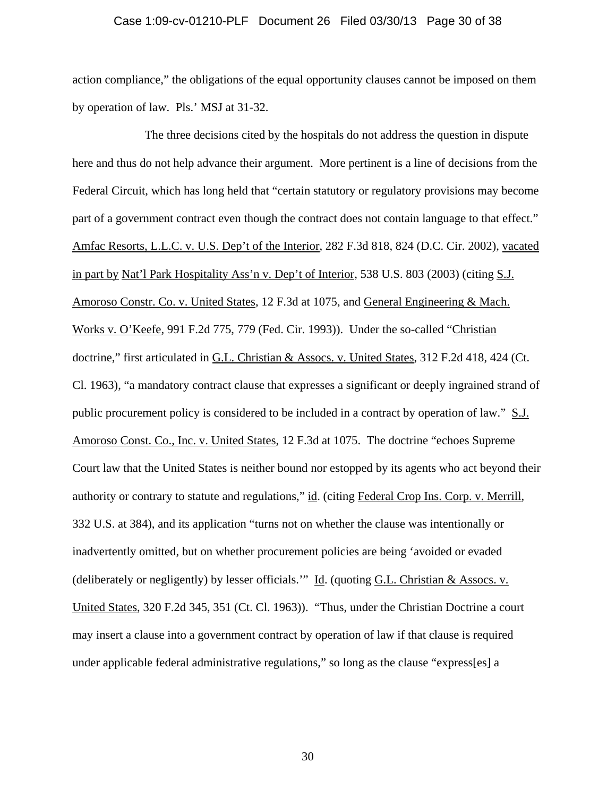#### Case 1:09-cv-01210-PLF Document 26 Filed 03/30/13 Page 30 of 38

action compliance," the obligations of the equal opportunity clauses cannot be imposed on them by operation of law. Pls.' MSJ at 31-32.

 The three decisions cited by the hospitals do not address the question in dispute here and thus do not help advance their argument. More pertinent is a line of decisions from the Federal Circuit, which has long held that "certain statutory or regulatory provisions may become part of a government contract even though the contract does not contain language to that effect." Amfac Resorts, L.L.C. v. U.S. Dep't of the Interior, 282 F.3d 818, 824 (D.C. Cir. 2002), vacated in part by Nat'l Park Hospitality Ass'n v. Dep't of Interior, 538 U.S. 803 (2003) (citing S.J. Amoroso Constr. Co. v. United States, 12 F.3d at 1075, and General Engineering & Mach. Works v. O'Keefe, 991 F.2d 775, 779 (Fed. Cir. 1993)). Under the so-called "Christian doctrine," first articulated in G.L. Christian & Assocs. v. United States, 312 F.2d 418, 424 (Ct. Cl. 1963), "a mandatory contract clause that expresses a significant or deeply ingrained strand of public procurement policy is considered to be included in a contract by operation of law." S.J. Amoroso Const. Co., Inc. v. United States, 12 F.3d at 1075. The doctrine "echoes Supreme Court law that the United States is neither bound nor estopped by its agents who act beyond their authority or contrary to statute and regulations," id. (citing Federal Crop Ins. Corp. v. Merrill, 332 U.S. at 384), and its application "turns not on whether the clause was intentionally or inadvertently omitted, but on whether procurement policies are being 'avoided or evaded (deliberately or negligently) by lesser officials." Id. (quoting G.L. Christian  $&$  Assocs. v. United States, 320 F.2d 345, 351 (Ct. Cl. 1963)). "Thus, under the Christian Doctrine a court may insert a clause into a government contract by operation of law if that clause is required under applicable federal administrative regulations," so long as the clause "express[es] a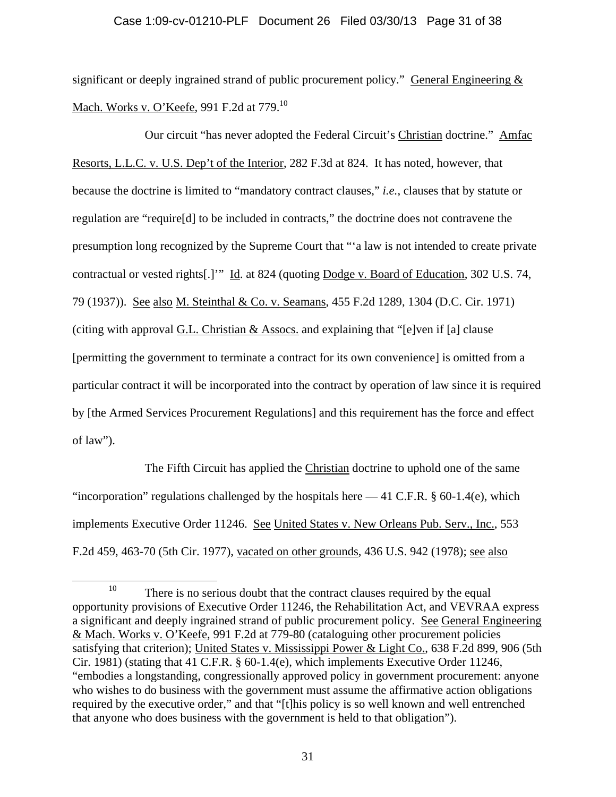# Case 1:09-cv-01210-PLF Document 26 Filed 03/30/13 Page 31 of 38

significant or deeply ingrained strand of public procurement policy." General Engineering  $&$ Mach. Works v. O'Keefe, 991 F.2d at 779.<sup>10</sup>

 Our circuit "has never adopted the Federal Circuit's Christian doctrine." Amfac Resorts, L.L.C. v. U.S. Dep't of the Interior, 282 F.3d at 824. It has noted, however, that because the doctrine is limited to "mandatory contract clauses," *i.e.*, clauses that by statute or regulation are "require[d] to be included in contracts," the doctrine does not contravene the presumption long recognized by the Supreme Court that "'a law is not intended to create private contractual or vested rights[.]'" Id. at 824 (quoting Dodge v. Board of Education, 302 U.S. 74, 79 (1937)). See also M. Steinthal & Co. v. Seamans, 455 F.2d 1289, 1304 (D.C. Cir. 1971) (citing with approval  $G.L.$  Christian  $&$  Assocs. and explaining that "[e]ven if [a] clause [permitting the government to terminate a contract for its own convenience] is omitted from a particular contract it will be incorporated into the contract by operation of law since it is required by [the Armed Services Procurement Regulations] and this requirement has the force and effect of law").

The Fifth Circuit has applied the Christian doctrine to uphold one of the same "incorporation" regulations challenged by the hospitals here  $-41$  C.F.R. § 60-1.4(e), which implements Executive Order 11246. See United States v. New Orleans Pub. Serv., Inc., 553 F.2d 459, 463-70 (5th Cir. 1977), vacated on other grounds, 436 U.S. 942 (1978); see also

<sup>&</sup>lt;sup>10</sup> There is no serious doubt that the contract clauses required by the equal opportunity provisions of Executive Order 11246, the Rehabilitation Act, and VEVRAA express a significant and deeply ingrained strand of public procurement policy. See General Engineering & Mach. Works v. O'Keefe, 991 F.2d at 779-80 (cataloguing other procurement policies satisfying that criterion); United States v. Mississippi Power & Light Co., 638 F.2d 899, 906 (5th Cir. 1981) (stating that 41 C.F.R. § 60-1.4(e), which implements Executive Order 11246, "embodies a longstanding, congressionally approved policy in government procurement: anyone who wishes to do business with the government must assume the affirmative action obligations required by the executive order," and that "[t]his policy is so well known and well entrenched that anyone who does business with the government is held to that obligation").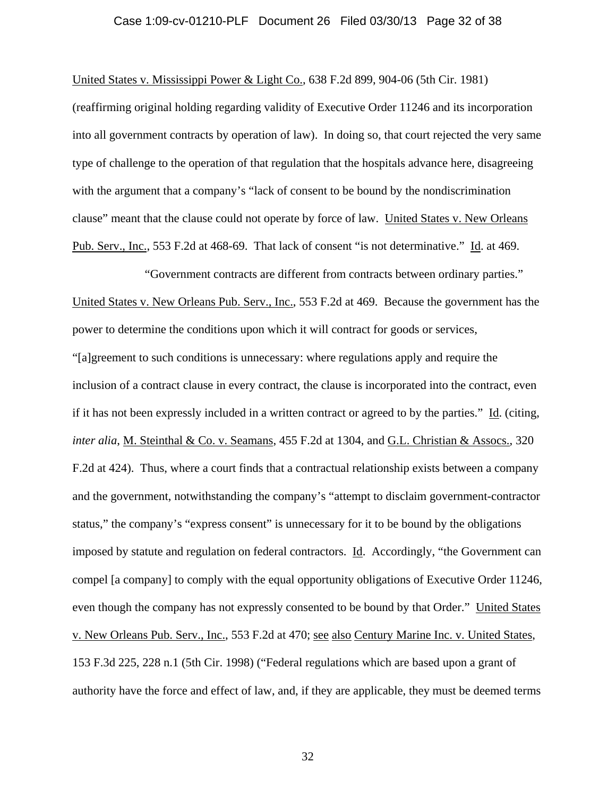#### Case 1:09-cv-01210-PLF Document 26 Filed 03/30/13 Page 32 of 38

United States v. Mississippi Power & Light Co., 638 F.2d 899, 904-06 (5th Cir. 1981)

(reaffirming original holding regarding validity of Executive Order 11246 and its incorporation into all government contracts by operation of law). In doing so, that court rejected the very same type of challenge to the operation of that regulation that the hospitals advance here, disagreeing with the argument that a company's "lack of consent to be bound by the nondiscrimination clause" meant that the clause could not operate by force of law. United States v. New Orleans Pub. Serv., Inc., 553 F.2d at 468-69. That lack of consent "is not determinative." Id. at 469.

 "Government contracts are different from contracts between ordinary parties." United States v. New Orleans Pub. Serv., Inc., 553 F.2d at 469. Because the government has the power to determine the conditions upon which it will contract for goods or services, "[a]greement to such conditions is unnecessary: where regulations apply and require the inclusion of a contract clause in every contract, the clause is incorporated into the contract, even if it has not been expressly included in a written contract or agreed to by the parties." Id. (citing, *inter alia*, M. Steinthal & Co. v. Seamans, 455 F.2d at 1304, and G.L. Christian & Assocs., 320 F.2d at 424). Thus, where a court finds that a contractual relationship exists between a company and the government, notwithstanding the company's "attempt to disclaim government-contractor status," the company's "express consent" is unnecessary for it to be bound by the obligations imposed by statute and regulation on federal contractors. Id. Accordingly, "the Government can compel [a company] to comply with the equal opportunity obligations of Executive Order 11246, even though the company has not expressly consented to be bound by that Order." United States v. New Orleans Pub. Serv., Inc., 553 F.2d at 470; see also Century Marine Inc. v. United States, 153 F.3d 225, 228 n.1 (5th Cir. 1998) ("Federal regulations which are based upon a grant of authority have the force and effect of law, and, if they are applicable, they must be deemed terms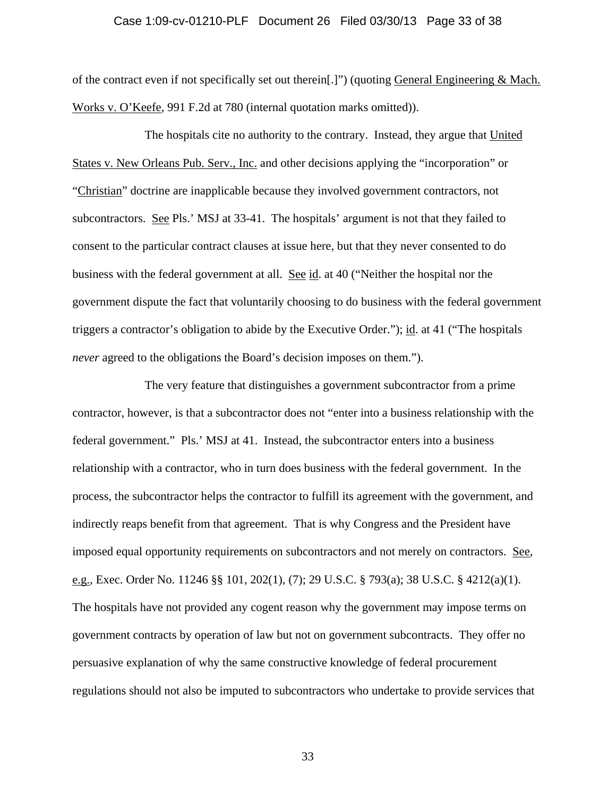#### Case 1:09-cv-01210-PLF Document 26 Filed 03/30/13 Page 33 of 38

of the contract even if not specifically set out therein[.]") (quoting General Engineering & Mach. Works v. O'Keefe, 991 F.2d at 780 (internal quotation marks omitted)).

 The hospitals cite no authority to the contrary. Instead, they argue that United States v. New Orleans Pub. Serv., Inc. and other decisions applying the "incorporation" or "Christian" doctrine are inapplicable because they involved government contractors, not subcontractors. See Pls.' MSJ at 33-41. The hospitals' argument is not that they failed to consent to the particular contract clauses at issue here, but that they never consented to do business with the federal government at all. See id. at 40 ("Neither the hospital nor the government dispute the fact that voluntarily choosing to do business with the federal government triggers a contractor's obligation to abide by the Executive Order."); id. at 41 ("The hospitals *never* agreed to the obligations the Board's decision imposes on them.").

 The very feature that distinguishes a government subcontractor from a prime contractor, however, is that a subcontractor does not "enter into a business relationship with the federal government." Pls.' MSJ at 41. Instead, the subcontractor enters into a business relationship with a contractor, who in turn does business with the federal government. In the process, the subcontractor helps the contractor to fulfill its agreement with the government, and indirectly reaps benefit from that agreement. That is why Congress and the President have imposed equal opportunity requirements on subcontractors and not merely on contractors. See, <u>e.g.</u>, Exec. Order No. 11246 §§ 101, 202(1), (7); 29 U.S.C. § 793(a); 38 U.S.C. § 4212(a)(1). The hospitals have not provided any cogent reason why the government may impose terms on government contracts by operation of law but not on government subcontracts. They offer no persuasive explanation of why the same constructive knowledge of federal procurement regulations should not also be imputed to subcontractors who undertake to provide services that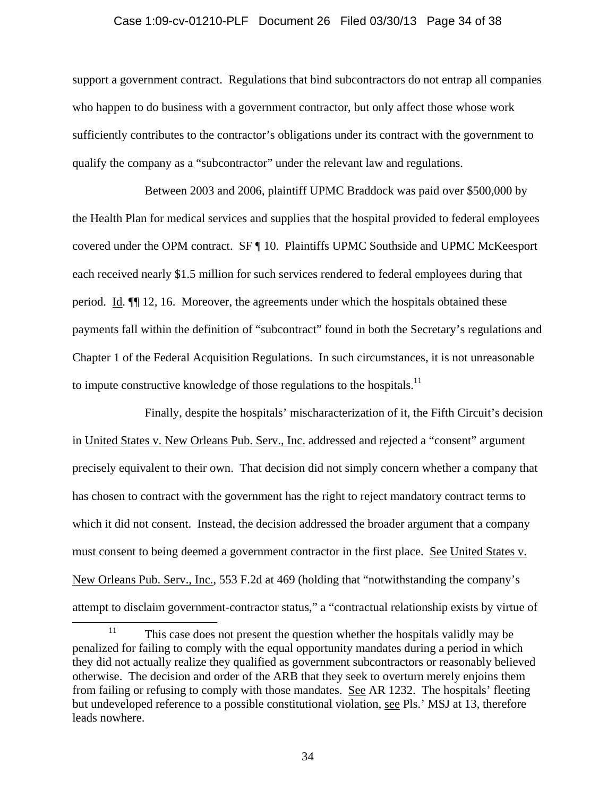#### Case 1:09-cv-01210-PLF Document 26 Filed 03/30/13 Page 34 of 38

support a government contract. Regulations that bind subcontractors do not entrap all companies who happen to do business with a government contractor, but only affect those whose work sufficiently contributes to the contractor's obligations under its contract with the government to qualify the company as a "subcontractor" under the relevant law and regulations.

 Between 2003 and 2006, plaintiff UPMC Braddock was paid over \$500,000 by the Health Plan for medical services and supplies that the hospital provided to federal employees covered under the OPM contract. SF ¶ 10. Plaintiffs UPMC Southside and UPMC McKeesport each received nearly \$1.5 million for such services rendered to federal employees during that period. Id. ¶¶ 12, 16. Moreover, the agreements under which the hospitals obtained these payments fall within the definition of "subcontract" found in both the Secretary's regulations and Chapter 1 of the Federal Acquisition Regulations. In such circumstances, it is not unreasonable to impute constructive knowledge of those regulations to the hospitals.<sup>11</sup>

 Finally, despite the hospitals' mischaracterization of it, the Fifth Circuit's decision in United States v. New Orleans Pub. Serv., Inc. addressed and rejected a "consent" argument precisely equivalent to their own. That decision did not simply concern whether a company that has chosen to contract with the government has the right to reject mandatory contract terms to which it did not consent. Instead, the decision addressed the broader argument that a company must consent to being deemed a government contractor in the first place. See United States v. New Orleans Pub. Serv., Inc., 553 F.2d at 469 (holding that "notwithstanding the company's attempt to disclaim government-contractor status," a "contractual relationship exists by virtue of

 $11$  This case does not present the question whether the hospitals validly may be penalized for failing to comply with the equal opportunity mandates during a period in which they did not actually realize they qualified as government subcontractors or reasonably believed otherwise. The decision and order of the ARB that they seek to overturn merely enjoins them from failing or refusing to comply with those mandates. See AR 1232. The hospitals' fleeting but undeveloped reference to a possible constitutional violation, see Pls.' MSJ at 13, therefore leads nowhere.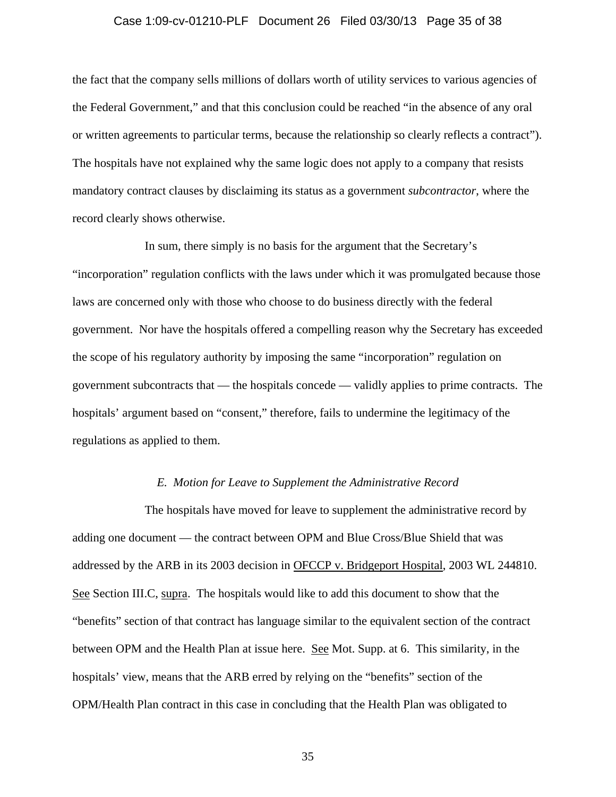### Case 1:09-cv-01210-PLF Document 26 Filed 03/30/13 Page 35 of 38

the fact that the company sells millions of dollars worth of utility services to various agencies of the Federal Government," and that this conclusion could be reached "in the absence of any oral or written agreements to particular terms, because the relationship so clearly reflects a contract"). The hospitals have not explained why the same logic does not apply to a company that resists mandatory contract clauses by disclaiming its status as a government *subcontractor*, where the record clearly shows otherwise.

 In sum, there simply is no basis for the argument that the Secretary's "incorporation" regulation conflicts with the laws under which it was promulgated because those laws are concerned only with those who choose to do business directly with the federal government. Nor have the hospitals offered a compelling reason why the Secretary has exceeded the scope of his regulatory authority by imposing the same "incorporation" regulation on government subcontracts that — the hospitals concede — validly applies to prime contracts. The hospitals' argument based on "consent," therefore, fails to undermine the legitimacy of the regulations as applied to them.

### *E. Motion for Leave to Supplement the Administrative Record*

 The hospitals have moved for leave to supplement the administrative record by adding one document — the contract between OPM and Blue Cross/Blue Shield that was addressed by the ARB in its 2003 decision in OFCCP v. Bridgeport Hospital, 2003 WL 244810. See Section III.C, supra. The hospitals would like to add this document to show that the "benefits" section of that contract has language similar to the equivalent section of the contract between OPM and the Health Plan at issue here. See Mot. Supp. at 6. This similarity, in the hospitals' view, means that the ARB erred by relying on the "benefits" section of the OPM/Health Plan contract in this case in concluding that the Health Plan was obligated to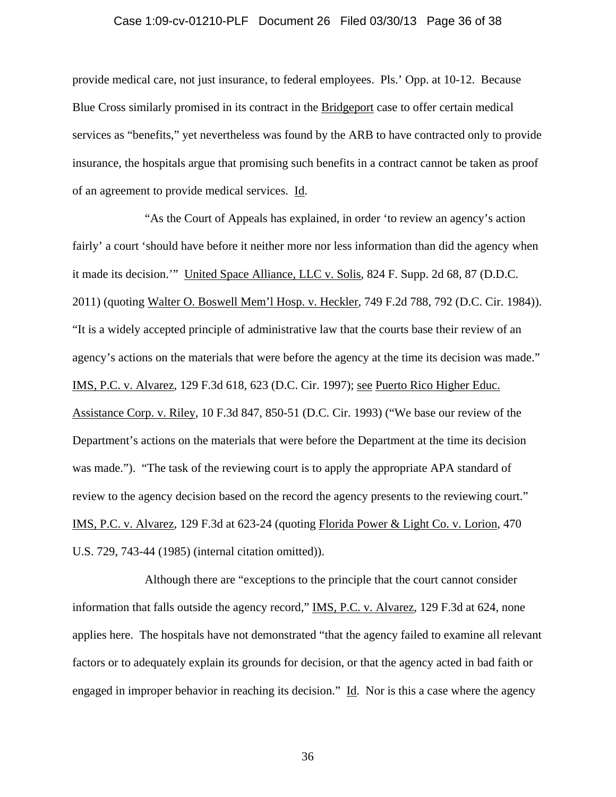#### Case 1:09-cv-01210-PLF Document 26 Filed 03/30/13 Page 36 of 38

provide medical care, not just insurance, to federal employees. Pls.' Opp. at 10-12. Because Blue Cross similarly promised in its contract in the Bridgeport case to offer certain medical services as "benefits," yet nevertheless was found by the ARB to have contracted only to provide insurance, the hospitals argue that promising such benefits in a contract cannot be taken as proof of an agreement to provide medical services. Id.

 "As the Court of Appeals has explained, in order 'to review an agency's action fairly' a court 'should have before it neither more nor less information than did the agency when it made its decision.'" United Space Alliance, LLC v. Solis, 824 F. Supp. 2d 68, 87 (D.D.C. 2011) (quoting Walter O. Boswell Mem'l Hosp. v. Heckler, 749 F.2d 788, 792 (D.C. Cir. 1984)). "It is a widely accepted principle of administrative law that the courts base their review of an agency's actions on the materials that were before the agency at the time its decision was made." IMS, P.C. v. Alvarez, 129 F.3d 618, 623 (D.C. Cir. 1997); see Puerto Rico Higher Educ. Assistance Corp. v. Riley, 10 F.3d 847, 850-51 (D.C. Cir. 1993) ("We base our review of the Department's actions on the materials that were before the Department at the time its decision was made."). "The task of the reviewing court is to apply the appropriate APA standard of review to the agency decision based on the record the agency presents to the reviewing court." IMS, P.C. v. Alvarez, 129 F.3d at 623-24 (quoting Florida Power & Light Co. v. Lorion, 470 U.S. 729, 743-44 (1985) (internal citation omitted)).

 Although there are "exceptions to the principle that the court cannot consider information that falls outside the agency record," IMS, P.C. v. Alvarez, 129 F.3d at 624, none applies here. The hospitals have not demonstrated "that the agency failed to examine all relevant factors or to adequately explain its grounds for decision, or that the agency acted in bad faith or engaged in improper behavior in reaching its decision." Id. Nor is this a case where the agency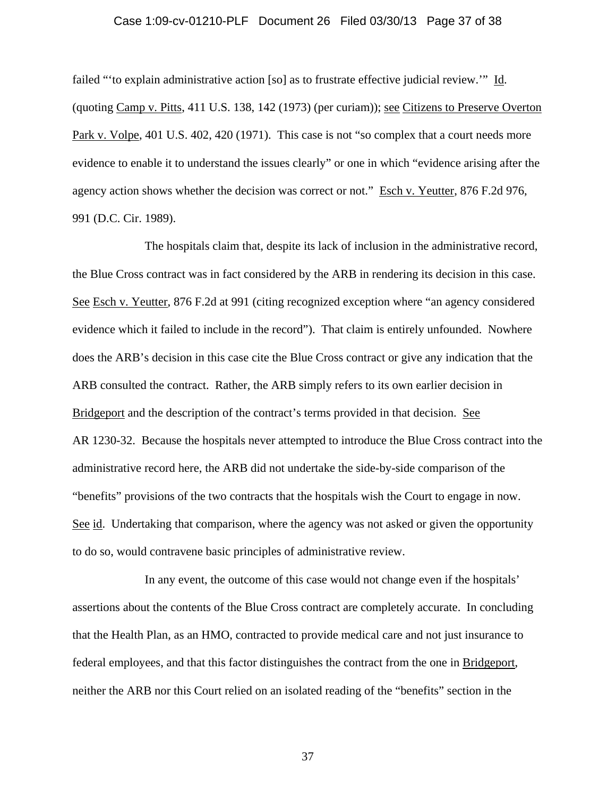#### Case 1:09-cv-01210-PLF Document 26 Filed 03/30/13 Page 37 of 38

failed "'to explain administrative action [so] as to frustrate effective judicial review.'" Id. (quoting Camp v. Pitts, 411 U.S. 138, 142 (1973) (per curiam)); see Citizens to Preserve Overton Park v. Volpe, 401 U.S. 402, 420 (1971). This case is not "so complex that a court needs more evidence to enable it to understand the issues clearly" or one in which "evidence arising after the agency action shows whether the decision was correct or not." Esch v. Yeutter, 876 F.2d 976, 991 (D.C. Cir. 1989).

 The hospitals claim that, despite its lack of inclusion in the administrative record, the Blue Cross contract was in fact considered by the ARB in rendering its decision in this case. See Esch v. Yeutter, 876 F.2d at 991 (citing recognized exception where "an agency considered evidence which it failed to include in the record"). That claim is entirely unfounded. Nowhere does the ARB's decision in this case cite the Blue Cross contract or give any indication that the ARB consulted the contract. Rather, the ARB simply refers to its own earlier decision in Bridgeport and the description of the contract's terms provided in that decision. See AR 1230-32. Because the hospitals never attempted to introduce the Blue Cross contract into the administrative record here, the ARB did not undertake the side-by-side comparison of the "benefits" provisions of the two contracts that the hospitals wish the Court to engage in now. See id. Undertaking that comparison, where the agency was not asked or given the opportunity to do so, would contravene basic principles of administrative review.

 In any event, the outcome of this case would not change even if the hospitals' assertions about the contents of the Blue Cross contract are completely accurate. In concluding that the Health Plan, as an HMO, contracted to provide medical care and not just insurance to federal employees, and that this factor distinguishes the contract from the one in Bridgeport, neither the ARB nor this Court relied on an isolated reading of the "benefits" section in the